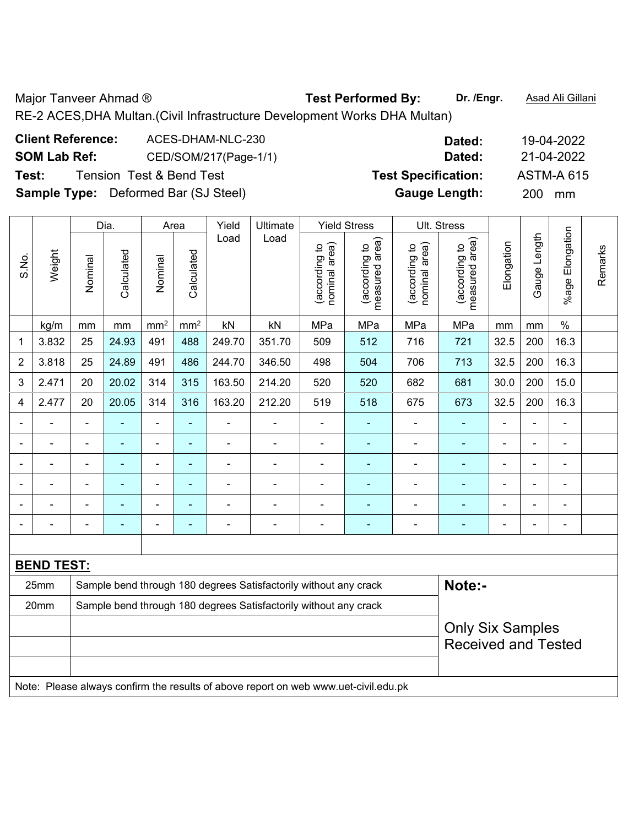Major Tanveer Ahmad ® **Test Performed By:** Dr. /Engr. **Asad Ali Gillani** 

RE-2 ACES,DHA Multan.(Civil Infrastructure Development Works DHA Multan)

| <b>Client Reference:</b> | ACES-DHAM-NLC-230                           | Dated:                     | 19-04-2022        |
|--------------------------|---------------------------------------------|----------------------------|-------------------|
| <b>SOM Lab Ref:</b>      | CED/SOM/217(Page-1/1)                       | Dated:                     | 21-04-2022        |
| Test:                    | <b>Tension Test &amp; Bend Test</b>         | <b>Test Specification:</b> | <b>ASTM-A 615</b> |
|                          | <b>Sample Type:</b> Deformed Bar (SJ Steel) | <b>Gauge Length:</b>       | <b>200</b><br>mm  |
|                          |                                             |                            |                   |

|                |                   |                            | Dia.           |                          | <b>Yield Stress</b><br>Ult. Stress<br>Area<br>Yield<br>Ultimate |                                                                  |                |                                |                                 |                                |                                 |                |                |                          |         |
|----------------|-------------------|----------------------------|----------------|--------------------------|-----------------------------------------------------------------|------------------------------------------------------------------|----------------|--------------------------------|---------------------------------|--------------------------------|---------------------------------|----------------|----------------|--------------------------|---------|
| S.No.          | Weight            | Nominal                    | Calculated     | Nominal                  | Calculated                                                      | Load                                                             | Load           | nominal area)<br>(according to | measured area)<br>(according to | nominal area)<br>(according to | measured area)<br>(according to | Elongation     | Gauge Length   | %age Elongation          | Remarks |
|                | kg/m              | mm                         | mm             | mm <sup>2</sup>          | mm <sup>2</sup>                                                 | kN                                                               | kN             | MPa                            | MPa                             | MPa                            | MPa                             | mm             | mm             | $\%$                     |         |
| 1              | 3.832             | 25                         | 24.93          | 491                      | 488                                                             | 249.70                                                           | 351.70         | 509                            | 512                             | 716                            | 721                             | 32.5           | 200            | 16.3                     |         |
| $\overline{2}$ | 3.818             | 25                         | 24.89          | 491                      | 486                                                             | 244.70                                                           | 346.50         | 498                            | 504                             | 706                            | 713                             | 32.5           | 200            | 16.3                     |         |
| 3              | 2.471             | 20                         | 20.02          | 314                      | 315                                                             | 163.50                                                           | 214.20         | 520                            | 520                             | 682                            | 681                             | 30.0           | 200            | 15.0                     |         |
| 4              | 2.477             | 20                         | 20.05          | 314                      | 316                                                             | 163.20                                                           | 212.20         | 519                            | 518                             | 675                            | 673                             | 32.5           | 200            | 16.3                     |         |
|                |                   |                            |                | $\blacksquare$           | ä,                                                              |                                                                  |                | $\blacksquare$                 |                                 |                                |                                 |                | $\blacksquare$ | $\blacksquare$           |         |
|                | ۰                 | $\blacksquare$             | $\blacksquare$ | $\overline{\phantom{a}}$ | $\blacksquare$                                                  | $\overline{\phantom{0}}$                                         | $\overline{a}$ | $\overline{a}$                 | ۰                               | $\blacksquare$                 | $\blacksquare$                  | $\overline{a}$ | $\blacksquare$ | $\overline{\phantom{a}}$ |         |
|                |                   |                            |                | $\blacksquare$           | $\blacksquare$                                                  |                                                                  |                | $\blacksquare$                 | $\blacksquare$                  |                                | ۰                               |                |                | $\overline{\phantom{0}}$ |         |
| ۰              | ÷                 | $\blacksquare$             | ÷              | $\overline{\phantom{a}}$ | $\blacksquare$                                                  |                                                                  | $\blacksquare$ | $\overline{a}$                 | ÷                               |                                | $\overline{\phantom{0}}$        | $\blacksquare$ | ä,             | $\blacksquare$           |         |
|                | $\overline{a}$    |                            |                | $\overline{a}$           | ٠                                                               |                                                                  |                | $\qquad \qquad \blacksquare$   |                                 |                                | ۰                               |                | L,             | $\blacksquare$           |         |
|                |                   |                            |                | ۰                        | $\overline{\phantom{0}}$                                        |                                                                  | ٠              | $\qquad \qquad \blacksquare$   |                                 | $\overline{a}$                 | -                               |                | Ē,             | $\blacksquare$           |         |
|                |                   |                            |                |                          |                                                                 |                                                                  |                |                                |                                 |                                |                                 |                |                |                          |         |
|                | <b>BEND TEST:</b> |                            |                |                          |                                                                 |                                                                  |                |                                |                                 |                                |                                 |                |                |                          |         |
|                | 25mm              |                            |                |                          |                                                                 | Sample bend through 180 degrees Satisfactorily without any crack |                | Note:-                         |                                 |                                |                                 |                |                |                          |         |
|                | 20mm              |                            |                |                          |                                                                 | Sample bend through 180 degrees Satisfactorily without any crack |                |                                |                                 |                                |                                 |                |                |                          |         |
|                |                   |                            |                |                          |                                                                 |                                                                  |                |                                |                                 |                                | <b>Only Six Samples</b>         |                |                |                          |         |
|                |                   | <b>Received and Tested</b> |                |                          |                                                                 |                                                                  |                |                                |                                 |                                |                                 |                |                |                          |         |
|                |                   |                            |                |                          |                                                                 |                                                                  |                |                                |                                 |                                |                                 |                |                |                          |         |

Note: Please always confirm the results of above report on web www.uet-civil.edu.pk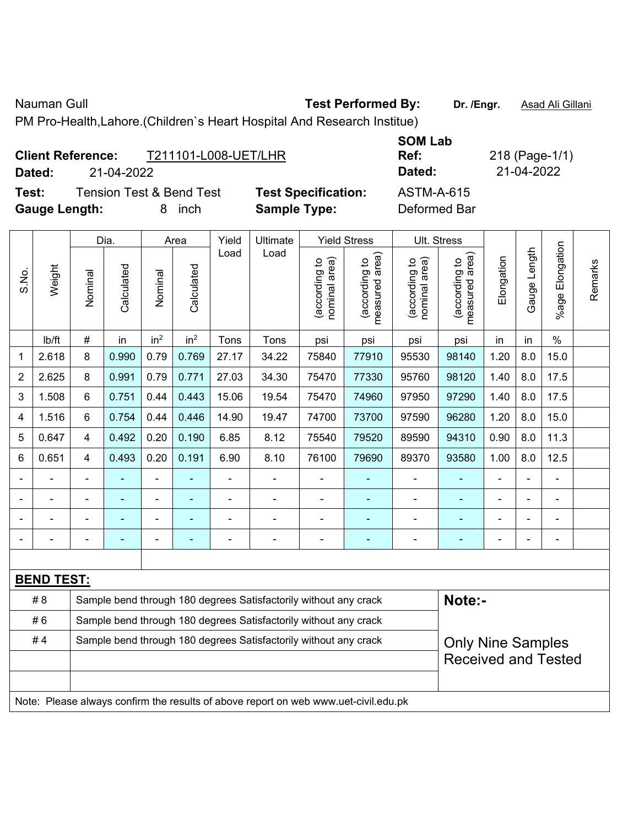Nauman Gull **Nauman Gull Commed By:** Test Performed By: Dr. /Engr. **Asad Ali Gillani** 

 $\epsilon$ 

PM Pro-Health,Lahore.(Children`s Heart Hospital And Research Institue)

|        | <b>Client Reference:</b><br>T211101-L008-UET/LHR |                            | <b>UVIVI LAN</b><br>Ref: | 218 (Page-1/ |
|--------|--------------------------------------------------|----------------------------|--------------------------|--------------|
| Dated: | 21-04-2022                                       |                            | Dated:                   | 21-04-2022   |
| Test:  | Tension Test & Bend Test                         | <b>Test Specification:</b> | ASTM-A-615               |              |

Gauge Length: **8** inch **Sample Type:** 

**SOM Lab Ref:** 218 (Page-1/1)

|      | ואטו ובא מ הבוות ובאנ |                     | <b>I CSL OPCUILCAUUII.</b> | AU INFATUIJ  |  |  |  |
|------|-----------------------|---------------------|----------------------------|--------------|--|--|--|
| :ו   | 8 inch                | <b>Sample Type:</b> |                            | Deformed Bar |  |  |  |
| Dia. | Area                  | Yield   Ultimate    | <b>Yield Stress</b>        | Ult. Stress  |  |  |  |

|       |                                                                                     | Dia.<br>Area<br>Yield<br>Ultimate<br>Yield Stress<br>UII. Stress |            |                          |                 |       |                                                                  |                                |                                             |                                |                                 |            |              |                 |         |
|-------|-------------------------------------------------------------------------------------|------------------------------------------------------------------|------------|--------------------------|-----------------|-------|------------------------------------------------------------------|--------------------------------|---------------------------------------------|--------------------------------|---------------------------------|------------|--------------|-----------------|---------|
| S.No. | Weight                                                                              | Nominal                                                          | Calculated | Nominal                  | Calculated      | Load  | Load                                                             | nominal area)<br>(according to | (according to<br>neasured area)<br>measured | nominal area)<br>(according to | measured area)<br>(according to | Elongation | Gauge Length | %age Elongation | Remarks |
|       | Ib/ft                                                                               | $\#$                                                             | in         | in <sup>2</sup>          | in <sup>2</sup> | Tons  | Tons                                                             | psi                            | psi                                         | psi                            | psi                             | in         | in           | $\%$            |         |
| 1     | 2.618                                                                               | 8                                                                | 0.990      | 0.79                     | 0.769           | 27.17 | 34.22                                                            | 75840                          | 77910                                       | 95530                          | 98140                           | 1.20       | 8.0          | 15.0            |         |
| 2     | 2.625                                                                               | 8                                                                | 0.991      | 0.79                     | 0.771           | 27.03 | 34.30                                                            | 75470                          | 77330                                       | 95760                          | 98120                           | 1.40       | 8.0          | 17.5            |         |
| 3     | 1.508                                                                               | 6                                                                | 0.751      | 0.44                     | 0.443           | 15.06 | 19.54                                                            | 75470                          | 74960                                       | 97950                          | 97290                           | 1.40       | 8.0          | 17.5            |         |
| 4     | 1.516                                                                               | 6                                                                | 0.754      | 0.44                     | 0.446           | 14.90 | 19.47                                                            | 74700                          | 73700                                       | 97590                          | 96280                           | 1.20       | 8.0          | 15.0            |         |
| 5     | 0.647                                                                               | 4                                                                | 0.492      | 0.20                     | 0.190           | 6.85  | 8.12                                                             | 75540                          | 79520                                       | 89590                          | 94310                           | 0.90       | 8.0          | 11.3            |         |
| 6     | 0.651                                                                               | $\overline{4}$                                                   | 0.493      | 0.20                     | 0.191           | 6.90  | 8.10                                                             | 76100                          | 79690                                       | 89370                          | 93580                           | 1.00       | 8.0          | 12.5            |         |
|       |                                                                                     |                                                                  |            | $\overline{\phantom{0}}$ |                 |       |                                                                  |                                |                                             |                                |                                 |            |              |                 |         |
|       |                                                                                     |                                                                  |            | $\blacksquare$           |                 |       |                                                                  |                                |                                             | $\blacksquare$                 | $\blacksquare$                  |            |              |                 |         |
|       |                                                                                     |                                                                  |            |                          |                 |       | $\blacksquare$                                                   |                                |                                             | ÷                              |                                 |            |              | $\blacksquare$  |         |
|       |                                                                                     |                                                                  |            | $\overline{a}$           |                 |       | ÷                                                                |                                |                                             | Ē,                             | ٠                               |            |              | ÷               |         |
|       |                                                                                     |                                                                  |            |                          |                 |       |                                                                  |                                |                                             |                                |                                 |            |              |                 |         |
|       | <b>BEND TEST:</b>                                                                   |                                                                  |            |                          |                 |       |                                                                  |                                |                                             |                                |                                 |            |              |                 |         |
|       | #8                                                                                  |                                                                  |            |                          |                 |       | Sample bend through 180 degrees Satisfactorily without any crack |                                |                                             |                                | Note:-                          |            |              |                 |         |
|       | #6                                                                                  |                                                                  |            |                          |                 |       | Sample bend through 180 degrees Satisfactorily without any crack |                                |                                             |                                |                                 |            |              |                 |         |
|       | #4                                                                                  |                                                                  |            |                          |                 |       | Sample bend through 180 degrees Satisfactorily without any crack |                                |                                             |                                | <b>Only Nine Samples</b>        |            |              |                 |         |
|       |                                                                                     |                                                                  |            |                          |                 |       | <b>Received and Tested</b>                                       |                                |                                             |                                |                                 |            |              |                 |         |
|       |                                                                                     |                                                                  |            |                          |                 |       |                                                                  |                                |                                             |                                |                                 |            |              |                 |         |
|       | Note: Please always confirm the results of above report on web www.uet-civil.edu.pk |                                                                  |            |                          |                 |       |                                                                  |                                |                                             |                                |                                 |            |              |                 |         |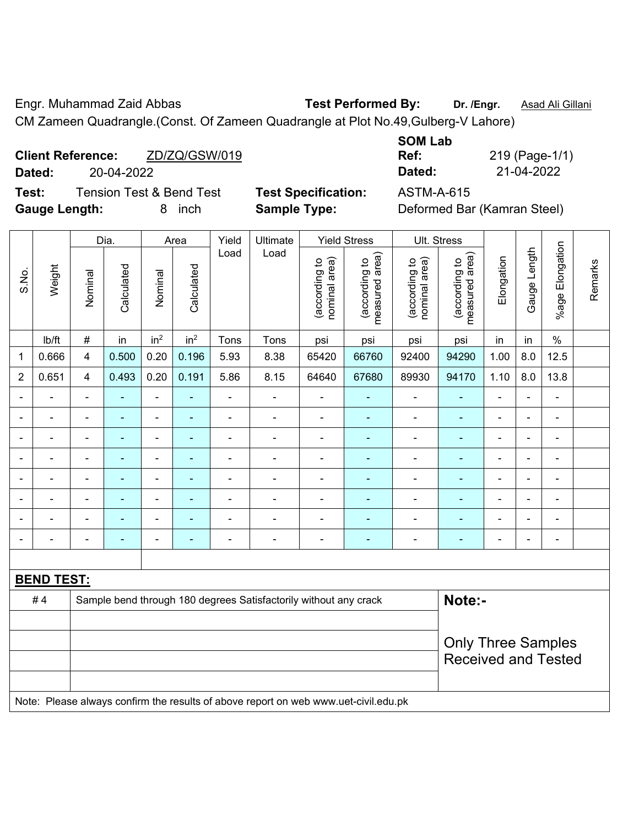Engr. Muhammad Zaid Abbas **Test Performed By: Dr. /Engr.** Asad Ali Gillani

CM Zameen Quadrangle.(Const. Of Zameen Quadrangle at Plot No.49,Gulberg-V Lahore)

| <b>Client Reference:</b> | ZD/ZQ/GSW/019 | Ref:   | 219 (Page-1/ |
|--------------------------|---------------|--------|--------------|
| Dated:                   | 20-04-2022    | Dated: | 21-04-2022   |

**Test:** Tension Test & Bend Test **Test Specification:** ASTM-A-615 **Gauge Length:** 8 inch **Sample Type:** Deformed Bar (Kamran Steel)

| <b>SOM Lab</b> |                |
|----------------|----------------|
| Ref:           | 219 (Page-1/1) |
| Dated:         | 21-04-2022     |

|                |                   |                                                                                     | Dia.                      |                 | Area            | <b>Yield Stress</b> | Ult. Stress                                                      |                                |                                 |                                |                                 |                          |                |                          |         |
|----------------|-------------------|-------------------------------------------------------------------------------------|---------------------------|-----------------|-----------------|---------------------|------------------------------------------------------------------|--------------------------------|---------------------------------|--------------------------------|---------------------------------|--------------------------|----------------|--------------------------|---------|
| S.No.          | Weight            | Nominal                                                                             | Calculated                | Nominal         | Calculated      | Load                | Load                                                             | nominal area)<br>(according to | measured area)<br>(according to | nominal area)<br>(according to | (according to<br>measured area) | Elongation               | Gauge Length   | Elongation<br>$%$ age    | Remarks |
|                | lb/ft             | $\#$                                                                                | in                        | in <sup>2</sup> | in <sup>2</sup> | Tons                | Tons                                                             | psi                            | psi                             | psi                            | psi                             | in                       | in             | $\%$                     |         |
| $\mathbf{1}$   | 0.666             | $\overline{\mathbf{4}}$                                                             | 0.500                     | 0.20            | 0.196           | 5.93                | 8.38                                                             | 65420                          | 66760                           | 92400                          | 94290                           | 1.00                     | 8.0            | 12.5                     |         |
| $\overline{2}$ | 0.651             | $\overline{\mathbf{4}}$                                                             | 0.493                     | 0.20            | 0.191           | 5.86                | 8.15                                                             | 64640                          | 67680                           | 89930                          | 94170                           | 1.10                     | 8.0            | 13.8                     |         |
|                |                   |                                                                                     |                           | ÷,              |                 | ÷,                  | ÷,                                                               | $\blacksquare$                 |                                 | ÷                              | $\blacksquare$                  | L,                       | ÷,             | ÷,                       |         |
|                | $\blacksquare$    | $\blacksquare$                                                                      | $\blacksquare$            | $\blacksquare$  | $\blacksquare$  | $\blacksquare$      | $\blacksquare$                                                   | $\blacksquare$                 | $\blacksquare$                  | ÷                              | $\blacksquare$                  | $\blacksquare$           | $\blacksquare$ | $\blacksquare$           |         |
| $\blacksquare$ | ÷                 | $\blacksquare$                                                                      | ÷                         | $\blacksquare$  | $\sim$          | $\frac{1}{2}$       | ÷,                                                               | $\blacksquare$                 | $\blacksquare$                  | $\overline{\phantom{0}}$       | $\blacksquare$                  | $\overline{\phantom{a}}$ | ÷,             | $\blacksquare$           |         |
|                | $\blacksquare$    | $\blacksquare$                                                                      | $\blacksquare$            | $\blacksquare$  | ٠               | $\blacksquare$      | ä,                                                               | $\blacksquare$                 | $\blacksquare$                  | ÷,                             | $\blacksquare$                  | $\blacksquare$           | $\blacksquare$ | $\blacksquare$           |         |
|                | $\blacksquare$    | $\blacksquare$                                                                      | ÷                         | $\blacksquare$  | ٠               | $\blacksquare$      | ÷                                                                | $\overline{\phantom{a}}$       | $\blacksquare$                  | $\blacksquare$                 | $\blacksquare$                  | $\blacksquare$           | ä,             | $\blacksquare$           |         |
|                |                   |                                                                                     | $\blacksquare$            | $\blacksquare$  |                 |                     |                                                                  |                                |                                 | $\overline{a}$                 | Ē,                              |                          |                | $\overline{\phantom{a}}$ |         |
|                |                   |                                                                                     |                           | ÷               |                 |                     | $\blacksquare$                                                   | $\blacksquare$                 |                                 |                                |                                 |                          |                | ÷                        |         |
|                |                   |                                                                                     | $\blacksquare$            | ÷               | ۰               | $\overline{a}$      | -                                                                | $\blacksquare$                 | $\overline{a}$                  | -                              | ٠                               | -                        | $\blacksquare$ | $\overline{\phantom{a}}$ |         |
|                |                   |                                                                                     |                           |                 |                 |                     |                                                                  |                                |                                 |                                |                                 |                          |                |                          |         |
|                | <b>BEND TEST:</b> |                                                                                     |                           |                 |                 |                     |                                                                  |                                |                                 |                                |                                 |                          |                |                          |         |
|                | #4                |                                                                                     |                           |                 |                 |                     | Sample bend through 180 degrees Satisfactorily without any crack |                                |                                 |                                | Note:-                          |                          |                |                          |         |
|                |                   |                                                                                     |                           |                 |                 |                     |                                                                  |                                |                                 |                                |                                 |                          |                |                          |         |
|                |                   |                                                                                     | <b>Only Three Samples</b> |                 |                 |                     |                                                                  |                                |                                 |                                |                                 |                          |                |                          |         |
|                |                   |                                                                                     |                           |                 |                 |                     |                                                                  |                                |                                 |                                | <b>Received and Tested</b>      |                          |                |                          |         |
|                |                   | Note: Please always confirm the results of above report on web www.uet-civil.edu.pk |                           |                 |                 |                     |                                                                  |                                |                                 |                                |                                 |                          |                |                          |         |
|                |                   |                                                                                     |                           |                 |                 |                     |                                                                  |                                |                                 |                                |                                 |                          |                |                          |         |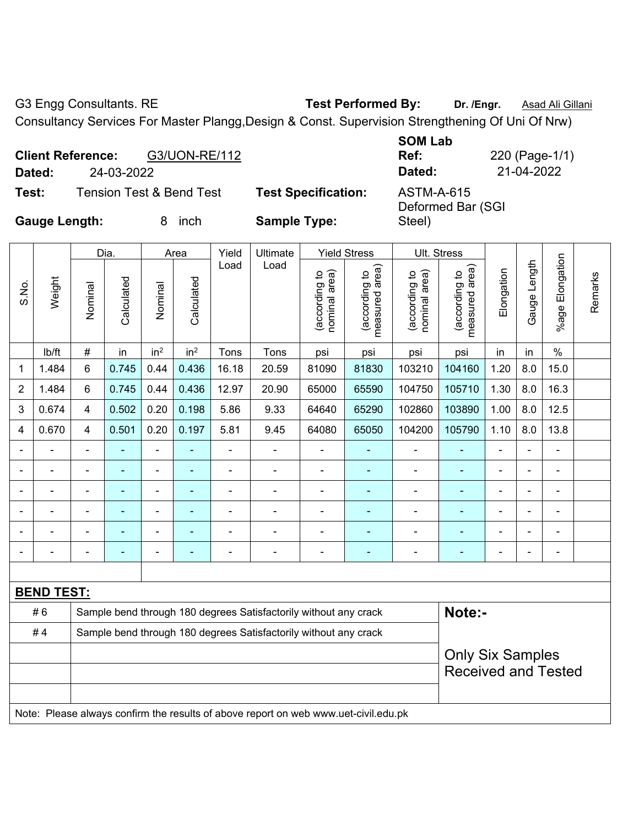G3 Engg Consultants. RE **Test Performed By:** Dr. /Engr. **Asad Ali Gillani** 

Consultancy Services For Master Plangg,Design & Const. Supervision Strengthening Of Uni Of Nrw)

| Dated:               | <b>Client Reference:</b><br>24-03-2022 | G3/UON-RE/112                       |                            | <b>SOM Lab</b><br>Ref:<br>Dated:       | 220 (Page-1/1)<br>21-04-2022 |
|----------------------|----------------------------------------|-------------------------------------|----------------------------|----------------------------------------|------------------------------|
| Test:                |                                        | <b>Tension Test &amp; Bend Test</b> | <b>Test Specification:</b> | <b>ASTM-A-615</b><br>Deformed Bar (SGI |                              |
| <b>Gauge Length:</b> |                                        | inch                                | <b>Sample Type:</b>        | Steel)                                 |                              |

|                |                   |                | Dia.                     | Yield<br>Ultimate<br><b>Yield Stress</b><br>Ult. Stress<br>Area |                 |                                                                  |                                                                                     |                                |                                 |                                |                                 |                |                          |                 |         |
|----------------|-------------------|----------------|--------------------------|-----------------------------------------------------------------|-----------------|------------------------------------------------------------------|-------------------------------------------------------------------------------------|--------------------------------|---------------------------------|--------------------------------|---------------------------------|----------------|--------------------------|-----------------|---------|
| S.No.          | Weight            | Nominal        | Calculated               | Nominal                                                         | Calculated      | Load                                                             | Load                                                                                | nominal area)<br>(according to | measured area)<br>(according to | nominal area)<br>(according to | measured area)<br>(according to | Elongation     | Gauge Length             | %age Elongation | Remarks |
|                | lb/ft             | #              | in                       | in <sup>2</sup>                                                 | in <sup>2</sup> | Tons                                                             | Tons                                                                                | psi                            | psi                             | psi                            | psi                             | in             | in                       | $\%$            |         |
| 1              | 1.484             | 6              | 0.745                    | 0.44                                                            | 0.436           | 16.18                                                            | 20.59                                                                               | 81090                          | 81830                           | 103210                         | 104160                          | 1.20           | 8.0                      | 15.0            |         |
| $\overline{2}$ | 1.484             | 6              | 0.745                    | 0.44                                                            | 0.436           | 12.97                                                            | 20.90                                                                               | 65000                          | 65590                           | 104750                         | 105710                          | 1.30           | 8.0                      | 16.3            |         |
| 3              | 0.674             | 4              | 0.502                    | 0.20                                                            | 0.198           | 5.86                                                             | 9.33                                                                                | 64640                          | 65290                           | 102860                         | 103890                          | 1.00           | 8.0                      | 12.5            |         |
| 4              | 0.670             | 4              | 0.501                    | 0.20                                                            | 0.197           | 5.81                                                             | 9.45                                                                                | 64080                          | 65050                           | 104200                         | 105790                          | 1.10           | 8.0                      | 13.8            |         |
|                |                   |                |                          | ä,                                                              |                 |                                                                  | $\blacksquare$                                                                      | L.                             |                                 |                                | $\blacksquare$                  |                |                          |                 |         |
|                | ä,                |                | ÷                        | ۰                                                               |                 |                                                                  | ÷                                                                                   | $\blacksquare$                 |                                 | ÷                              | $\blacksquare$                  |                |                          | $\blacksquare$  |         |
| $\blacksquare$ | $\overline{a}$    | $\blacksquare$ | $\blacksquare$           | ÷,                                                              |                 | $\blacksquare$                                                   | ä,                                                                                  | $\blacksquare$                 | $\blacksquare$                  | $\blacksquare$                 | ٠                               | $\blacksquare$ | $\overline{\phantom{0}}$ | $\blacksquare$  |         |
|                | $\blacksquare$    | $\blacksquare$ | ۰                        | ÷                                                               |                 | $\blacksquare$                                                   | $\blacksquare$                                                                      | ä,                             | ٠                               | $\blacksquare$                 | ٠                               | $\blacksquare$ | $\overline{\phantom{0}}$ | $\blacksquare$  |         |
|                | $\blacksquare$    | $\blacksquare$ | ÷                        | $\overline{\phantom{0}}$                                        |                 | $\blacksquare$                                                   | $\blacksquare$                                                                      | $\blacksquare$                 | ÷                               | $\blacksquare$                 | $\blacksquare$                  | $\blacksquare$ |                          | ÷               |         |
|                | $\blacksquare$    | $\blacksquare$ | $\overline{\phantom{0}}$ | ÷                                                               |                 | $\blacksquare$                                                   | $\overline{\phantom{a}}$                                                            | $\blacksquare$                 | ۰                               | $\blacksquare$                 | $\blacksquare$                  | $\blacksquare$ |                          | $\blacksquare$  |         |
|                |                   |                |                          |                                                                 |                 |                                                                  |                                                                                     |                                |                                 |                                |                                 |                |                          |                 |         |
|                | <b>BEND TEST:</b> |                |                          |                                                                 |                 |                                                                  |                                                                                     |                                |                                 |                                |                                 |                |                          |                 |         |
|                | #6                |                |                          |                                                                 |                 |                                                                  | Sample bend through 180 degrees Satisfactorily without any crack                    |                                |                                 |                                | Note:-                          |                |                          |                 |         |
|                | #4                |                |                          |                                                                 |                 | Sample bend through 180 degrees Satisfactorily without any crack |                                                                                     |                                |                                 |                                |                                 |                |                          |                 |         |
|                |                   |                |                          |                                                                 |                 |                                                                  |                                                                                     | <b>Only Six Samples</b>        |                                 |                                |                                 |                |                          |                 |         |
|                |                   |                |                          |                                                                 |                 |                                                                  |                                                                                     |                                |                                 |                                | <b>Received and Tested</b>      |                |                          |                 |         |
|                |                   |                |                          |                                                                 |                 |                                                                  |                                                                                     |                                |                                 |                                |                                 |                |                          |                 |         |
|                |                   |                |                          |                                                                 |                 |                                                                  | Note: Please always confirm the results of above report on web www.uet-civil.edu.pk |                                |                                 |                                |                                 |                |                          |                 |         |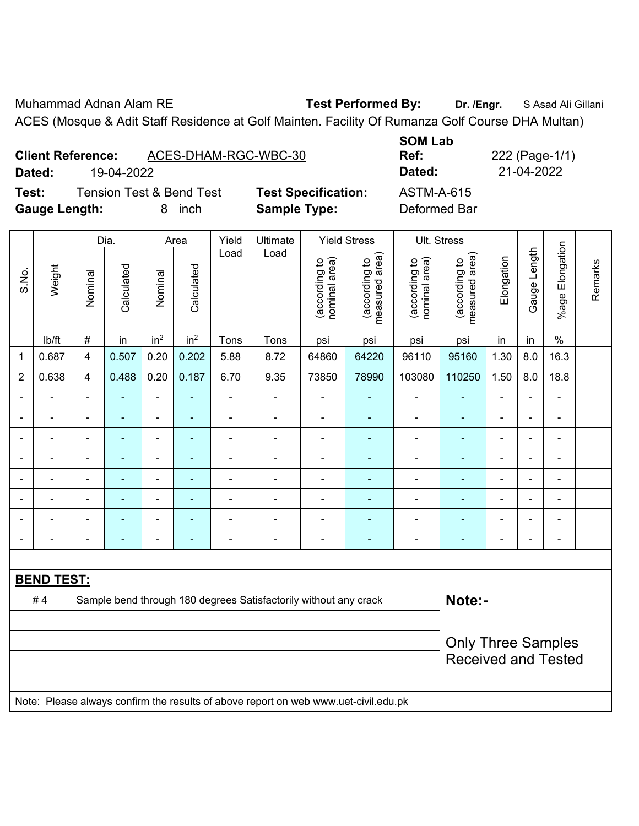Muhammad Adnan Alam RE **Test Performed By: Dr. /Engr.** S Asad Ali Gillani ACES (Mosque & Adit Staff Residence at Golf Mainten. Facility Of Rumanza Golf Course DHA Multan)

|                                                             | <b>Client Reference:</b> | ACES-DHAM-RGC-WBC-30 |       |                     |                            | <b>SOM Lab</b><br>Ref:            |            |  | 222 (Page-1/1) |  |  |
|-------------------------------------------------------------|--------------------------|----------------------|-------|---------------------|----------------------------|-----------------------------------|------------|--|----------------|--|--|
| Dated:<br>19-04-2022<br><b>Tension Test &amp; Bend Test</b> |                          |                      |       |                     |                            | Dated:                            | 21-04-2022 |  |                |  |  |
| Test:<br>Gauge Length:                                      |                          | inch<br>8            |       | <b>Sample Type:</b> | <b>Test Specification:</b> | <b>ASTM-A-615</b><br>Deformed Bar |            |  |                |  |  |
| Dia.                                                        |                          | Area                 | Yield | Ultimate            | <b>Yield Stress</b>        | Ult. Stress                       |            |  |                |  |  |

|                |                                                                                     |                | Dia.                         | Area<br>Yield<br>Ultimate<br>Yield Stress<br>UII. Stress |                 |                          |                                                                  |                                |                                 |                                |                                 |                |                |                 |         |
|----------------|-------------------------------------------------------------------------------------|----------------|------------------------------|----------------------------------------------------------|-----------------|--------------------------|------------------------------------------------------------------|--------------------------------|---------------------------------|--------------------------------|---------------------------------|----------------|----------------|-----------------|---------|
| S.No.          | Weight                                                                              | Nominal        | Calculated                   | Nominal                                                  | Calculated      | Load                     | Load                                                             | nominal area)<br>(according to | measured area)<br>(according to | (according to<br>nominal area) | measured area)<br>(according to | Elongation     | Gauge Length   | %age Elongation | Remarks |
|                | lb/ft                                                                               | $\#$           | in                           | in <sup>2</sup>                                          | in <sup>2</sup> | Tons                     | Tons                                                             | psi                            | psi                             | psi                            | psi                             | in             | in             | $\%$            |         |
| 1              | 0.687                                                                               | $\overline{4}$ | 0.507                        | 0.20                                                     | 0.202           | 5.88                     | 8.72                                                             | 64860                          | 64220                           | 96110                          | 95160                           | 1.30           | $8.0\,$        | 16.3            |         |
| $\overline{2}$ | 0.638                                                                               | 4              | 0.488                        | 0.20                                                     | 0.187           | 6.70                     | 9.35                                                             | 73850                          | 78990                           | 103080                         | 110250                          | 1.50           | 8.0            | 18.8            |         |
|                |                                                                                     | ۰              | $\blacksquare$               |                                                          |                 |                          | $\blacksquare$                                                   |                                |                                 |                                | ٠                               | $\blacksquare$ |                |                 |         |
|                |                                                                                     |                | $\qquad \qquad \blacksquare$ |                                                          |                 |                          |                                                                  |                                |                                 |                                |                                 |                |                | $\blacksquare$  |         |
| $\blacksquare$ | $\blacksquare$                                                                      | ÷.             | $\blacksquare$               | $\blacksquare$                                           | $\blacksquare$  | $\blacksquare$           | $\blacksquare$                                                   | ä,                             | $\blacksquare$                  | $\overline{\phantom{0}}$       | $\blacksquare$                  | ÷              | $\blacksquare$ | $\blacksquare$  |         |
| $\blacksquare$ | $\blacksquare$                                                                      | $\blacksquare$ | $\blacksquare$               | $\overline{\phantom{a}}$                                 | ä,              | $\blacksquare$           | $\blacksquare$                                                   | ÷                              | $\blacksquare$                  | $\overline{\phantom{0}}$       | $\blacksquare$                  | $\blacksquare$ | ۰              | $\blacksquare$  |         |
| $\blacksquare$ | $\blacksquare$                                                                      |                | $\blacksquare$               |                                                          |                 | $\overline{\phantom{0}}$ | $\blacksquare$                                                   | $\blacksquare$                 |                                 | ٠                              | $\overline{a}$                  |                |                | $\blacksquare$  |         |
|                |                                                                                     |                |                              |                                                          |                 |                          |                                                                  |                                |                                 |                                | $\overline{\phantom{0}}$        |                |                |                 |         |
|                |                                                                                     | $\blacksquare$ | $\blacksquare$               | $\blacksquare$                                           | $\blacksquare$  |                          |                                                                  |                                |                                 |                                | ٠                               |                |                | $\blacksquare$  |         |
| $\blacksquare$ |                                                                                     | $\blacksquare$ | $\blacksquare$               | $\blacksquare$                                           |                 | Ē,                       | $\blacksquare$                                                   | $\blacksquare$                 | $\blacksquare$                  | Ē,                             | $\blacksquare$                  | $\blacksquare$ |                | $\blacksquare$  |         |
|                |                                                                                     |                |                              |                                                          |                 |                          |                                                                  |                                |                                 |                                |                                 |                |                |                 |         |
|                | <b>BEND TEST:</b>                                                                   |                |                              |                                                          |                 |                          |                                                                  |                                |                                 |                                |                                 |                |                |                 |         |
|                | #4                                                                                  |                |                              |                                                          |                 |                          | Sample bend through 180 degrees Satisfactorily without any crack |                                |                                 |                                | Note:-                          |                |                |                 |         |
|                |                                                                                     |                |                              |                                                          |                 |                          |                                                                  |                                |                                 |                                |                                 |                |                |                 |         |
|                |                                                                                     |                | <b>Only Three Samples</b>    |                                                          |                 |                          |                                                                  |                                |                                 |                                |                                 |                |                |                 |         |
|                |                                                                                     |                |                              |                                                          |                 |                          |                                                                  |                                |                                 |                                | <b>Received and Tested</b>      |                |                |                 |         |
|                |                                                                                     |                |                              |                                                          |                 |                          |                                                                  |                                |                                 |                                |                                 |                |                |                 |         |
|                | Note: Please always confirm the results of above report on web www.uet-civil.edu.pk |                |                              |                                                          |                 |                          |                                                                  |                                |                                 |                                |                                 |                |                |                 |         |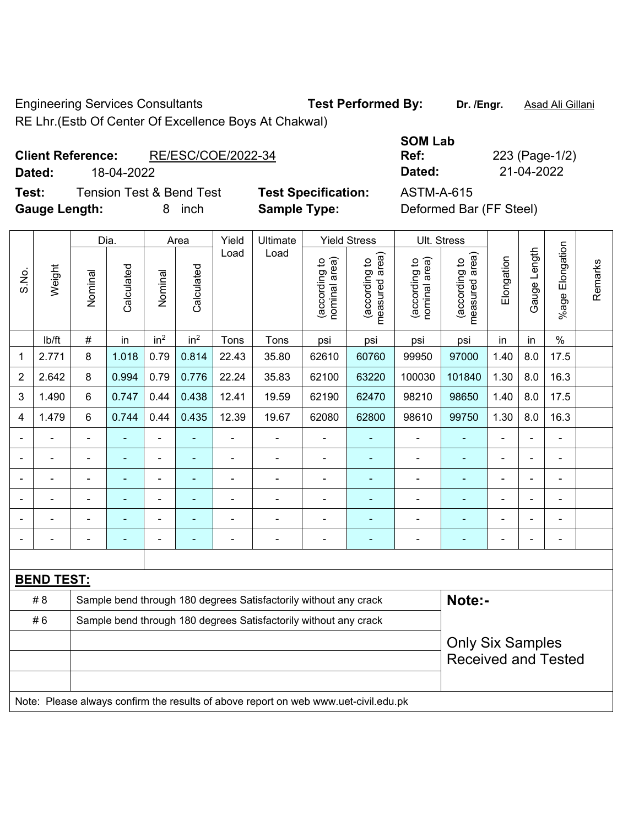Engineering Services Consultants **Test Performed By: Dr. /Engr.** Asad Ali Gillani RE Lhr.(Estb Of Center Of Excellence Boys At Chakwal)

**Test:** Tension Test & Bend Test **Test Specification:** ASTM-A-615 **Gauge Length:** 8 inch **Sample Type:** Deformed Bar (FF Steel)

|                          | RE Lhr. (Estb Of Center Of Excellence Boys At Chakwal) |                |              |
|--------------------------|--------------------------------------------------------|----------------|--------------|
|                          |                                                        | <b>SOM Lab</b> |              |
| <b>Client Reference:</b> | RE/ESC/COE/2022-34                                     | Ref:           | 223 (Page-1/ |
| Dated:                   | 18-04-2022                                             | Dated:         | 21-04-2022   |

|                |                   |                              | Dia.           |                 | Area                                                             | Yield          | Ultimate                                                                            |                                | <b>Yield Stress</b>             |                                | Ult. Stress                                 |                |                |                    |         |
|----------------|-------------------|------------------------------|----------------|-----------------|------------------------------------------------------------------|----------------|-------------------------------------------------------------------------------------|--------------------------------|---------------------------------|--------------------------------|---------------------------------------------|----------------|----------------|--------------------|---------|
| S.No.          | Weight            | Nominal                      | Calculated     | Nominal         | Calculated                                                       | Load           | Load                                                                                | nominal area)<br>(according to | measured area)<br>(according to | nominal area)<br>(according to | (according to<br>measured area)<br>measured | Elongation     | Gauge Length   | Elongation<br>%age | Remarks |
|                | lb/ft             | $\#$                         | in             | in <sup>2</sup> | in <sup>2</sup>                                                  | Tons           | Tons                                                                                | psi                            | psi                             | psi                            | psi                                         | in             | in             | $\%$               |         |
| 1              | 2.771             | 8                            | 1.018          | 0.79            | 0.814                                                            | 22.43          | 35.80                                                                               | 62610                          | 60760                           | 99950                          | 97000                                       | 1.40           | 8.0            | 17.5               |         |
| $\overline{2}$ | 2.642             | 8                            | 0.994          | 0.79            | 0.776                                                            | 22.24          | 35.83                                                                               | 62100                          | 63220                           | 100030                         | 101840                                      | 1.30           | 8.0            | 16.3               |         |
| 3              | 1.490             | 6                            | 0.747          | 0.44            | 0.438                                                            | 12.41          | 19.59                                                                               | 62190                          | 62470                           | 98210                          | 98650                                       | 1.40           | 8.0            | 17.5               |         |
| 4              | 1.479             | 6                            | 0.744          | 0.44            | 0.435                                                            | 12.39          | 19.67                                                                               | 62080                          | 62800                           | 98610                          | 99750                                       | 1.30           | 8.0            | 16.3               |         |
|                |                   | ÷,                           | ä,             | $\blacksquare$  |                                                                  | ÷,             | $\blacksquare$                                                                      | ÷,                             | ÷                               | $\blacksquare$                 | ÷,                                          | ÷,             |                | $\overline{a}$     |         |
|                |                   | $\qquad \qquad \blacksquare$ | $\blacksquare$ | $\blacksquare$  | $\blacksquare$                                                   | $\blacksquare$ | $\blacksquare$                                                                      | ÷,                             | $\blacksquare$                  | $\blacksquare$                 | $\qquad \qquad \blacksquare$                | $\blacksquare$ | $\blacksquare$ | $\blacksquare$     |         |
|                | ÷.                | ÷,                           | $\blacksquare$ | $\blacksquare$  | ۰                                                                | ÷,             | $\blacksquare$                                                                      | ÷,                             | ÷                               | ۰                              | ÷                                           | $\blacksquare$ | ä,             | ÷,                 |         |
|                |                   | $\blacksquare$               | $\blacksquare$ | $\blacksquare$  | ٠                                                                | ä,             | $\blacksquare$                                                                      | ä,                             | ä,                              | $\blacksquare$                 | $\blacksquare$                              | ä,             | ÷              | $\blacksquare$     |         |
|                |                   |                              |                |                 |                                                                  |                |                                                                                     |                                |                                 |                                |                                             |                |                |                    |         |
|                |                   |                              |                | L,              |                                                                  |                | $\blacksquare$                                                                      | $\blacksquare$                 |                                 | $\blacksquare$                 | ۰                                           |                |                | $\blacksquare$     |         |
|                |                   |                              |                |                 |                                                                  |                |                                                                                     |                                |                                 |                                |                                             |                |                |                    |         |
|                | <b>BEND TEST:</b> |                              |                |                 |                                                                  |                |                                                                                     |                                |                                 |                                |                                             |                |                |                    |         |
|                | # 8               |                              |                |                 |                                                                  |                | Sample bend through 180 degrees Satisfactorily without any crack                    |                                |                                 |                                | Note:-                                      |                |                |                    |         |
|                | #6                |                              |                |                 | Sample bend through 180 degrees Satisfactorily without any crack |                |                                                                                     |                                |                                 |                                |                                             |                |                |                    |         |
|                |                   |                              |                |                 |                                                                  |                | <b>Only Six Samples</b>                                                             |                                |                                 |                                |                                             |                |                |                    |         |
|                |                   |                              |                |                 |                                                                  |                |                                                                                     |                                |                                 |                                | <b>Received and Tested</b>                  |                |                |                    |         |
|                |                   |                              |                |                 |                                                                  |                |                                                                                     |                                |                                 |                                |                                             |                |                |                    |         |
|                |                   |                              |                |                 |                                                                  |                | Note: Please always confirm the results of above report on web www.uet-civil.edu.pk |                                |                                 |                                |                                             |                |                |                    |         |

**Ref:** 223 (Page-1/2)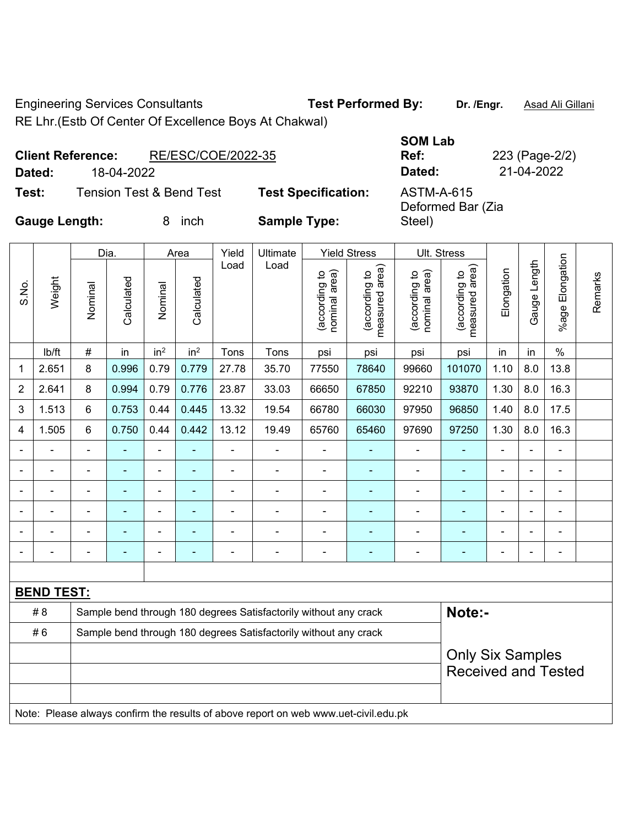Engineering Services Consultants **Test Performed By: Dr. /Engr.** Asad Ali Gillani RE Lhr.(Estb Of Center Of Excellence Boys At Chakwal)

T

 $\top$ 

٦

|        | <b>Client Reference:</b> | RE/ESC/COE/2022-35                  |                            |
|--------|--------------------------|-------------------------------------|----------------------------|
| Dated: | 18-04-2022               |                                     |                            |
| Test:  |                          | <b>Tension Test &amp; Bend Test</b> | <b>Test Specification:</b> |

**Ref:** 223 (Page-2/2) **Dated:** 18-04-2022 **Dated:** 21-04-2022 **Test:** Tension Test & Bend Test **Test Specification:** ASTM-A-615 Deformed Bar (Zia

Τ

**SOM Lab** 

Steel)

**Gauge Length:** 8 inch **Sample Type:** 

Τ

 $\Gamma$ 

┬

 $\overline{V}_{\text{ideal}}$ 

|                |                   |                            | Yield<br><b>Yield Stress</b><br>Ult. Stress<br>Dia.<br>Ultimate<br>Area |                 |                 |                |                                                                                     |                                |                                    |                                |                                 |            |                |                 |         |
|----------------|-------------------|----------------------------|-------------------------------------------------------------------------|-----------------|-----------------|----------------|-------------------------------------------------------------------------------------|--------------------------------|------------------------------------|--------------------------------|---------------------------------|------------|----------------|-----------------|---------|
| S.No.          | Weight            | Nominal                    | Calculated                                                              | Nominal         | Calculated      | Load           | Load                                                                                | (according to<br>nominal area) | area)<br>(according to<br>measured | nominal area)<br>(according to | (according to<br>measured area) | Elongation | Gauge Length   | %age Elongation | Remarks |
|                | lb/ft             | $\#$                       | in                                                                      | in <sup>2</sup> | in <sup>2</sup> | Tons           | Tons                                                                                | psi                            | psi                                | psi                            | psi                             | in         | in             | $\%$            |         |
| 1              | 2.651             | 8                          | 0.996                                                                   | 0.79            | 0.779           | 27.78          | 35.70                                                                               | 77550                          | 78640                              | 99660                          | 101070                          | 1.10       | 8.0            | 13.8            |         |
| $\overline{2}$ | 2.641             | 8                          | 0.994                                                                   | 0.79            | 0.776           | 23.87          | 33.03                                                                               | 66650                          | 67850                              | 92210                          | 93870                           | 1.30       | 8.0            | 16.3            |         |
| 3              | 1.513             | 6                          | 0.753                                                                   | 0.44            | 0.445           | 13.32          | 19.54                                                                               | 66780                          | 66030                              | 97950                          | 96850                           | 1.40       | 8.0            | 17.5            |         |
| 4              | 1.505             | 6                          | 0.750                                                                   | 0.44            | 0.442           | 13.12          | 19.49                                                                               | 65760                          | 65460                              | 97690                          | 97250                           | 1.30       | 8.0            | 16.3            |         |
|                |                   | $\blacksquare$             |                                                                         |                 |                 | ä,             |                                                                                     |                                |                                    | $\blacksquare$                 |                                 |            | ä,             |                 |         |
|                |                   |                            |                                                                         | $\blacksquare$  |                 |                | $\blacksquare$                                                                      | $\blacksquare$                 |                                    | $\blacksquare$                 | $\blacksquare$                  |            | $\blacksquare$ |                 |         |
|                |                   |                            |                                                                         | $\blacksquare$  |                 | $\blacksquare$ | $\blacksquare$                                                                      | $\blacksquare$                 |                                    | $\blacksquare$                 |                                 |            | $\blacksquare$ |                 |         |
|                |                   |                            |                                                                         | $\blacksquare$  |                 |                | $\blacksquare$                                                                      |                                |                                    |                                |                                 | ä,         | $\blacksquare$ |                 |         |
|                |                   |                            |                                                                         | $\blacksquare$  |                 | $\blacksquare$ | $\blacksquare$                                                                      | $\blacksquare$                 | $\overline{\phantom{a}}$           | $\blacksquare$                 | ٠                               |            | $\blacksquare$ | -               |         |
|                |                   |                            |                                                                         | $\blacksquare$  |                 | $\overline{a}$ | $\qquad \qquad \blacksquare$                                                        |                                | $\overline{\phantom{a}}$           |                                | $\blacksquare$                  |            | $\blacksquare$ |                 |         |
|                |                   |                            |                                                                         |                 |                 |                |                                                                                     |                                |                                    |                                |                                 |            |                |                 |         |
|                | <b>BEND TEST:</b> |                            |                                                                         |                 |                 |                |                                                                                     |                                |                                    |                                |                                 |            |                |                 |         |
|                | #8                |                            |                                                                         |                 |                 |                | Sample bend through 180 degrees Satisfactorily without any crack                    |                                |                                    |                                | Note:-                          |            |                |                 |         |
|                | #6                |                            |                                                                         |                 |                 |                | Sample bend through 180 degrees Satisfactorily without any crack                    |                                |                                    |                                |                                 |            |                |                 |         |
|                |                   |                            |                                                                         |                 |                 |                |                                                                                     |                                |                                    |                                | <b>Only Six Samples</b>         |            |                |                 |         |
|                |                   | <b>Received and Tested</b> |                                                                         |                 |                 |                |                                                                                     |                                |                                    |                                |                                 |            |                |                 |         |
|                |                   |                            |                                                                         |                 |                 |                |                                                                                     |                                |                                    |                                |                                 |            |                |                 |         |
|                |                   |                            |                                                                         |                 |                 |                | Note: Please always confirm the results of above report on web www.uet-civil.edu.pk |                                |                                    |                                |                                 |            |                |                 |         |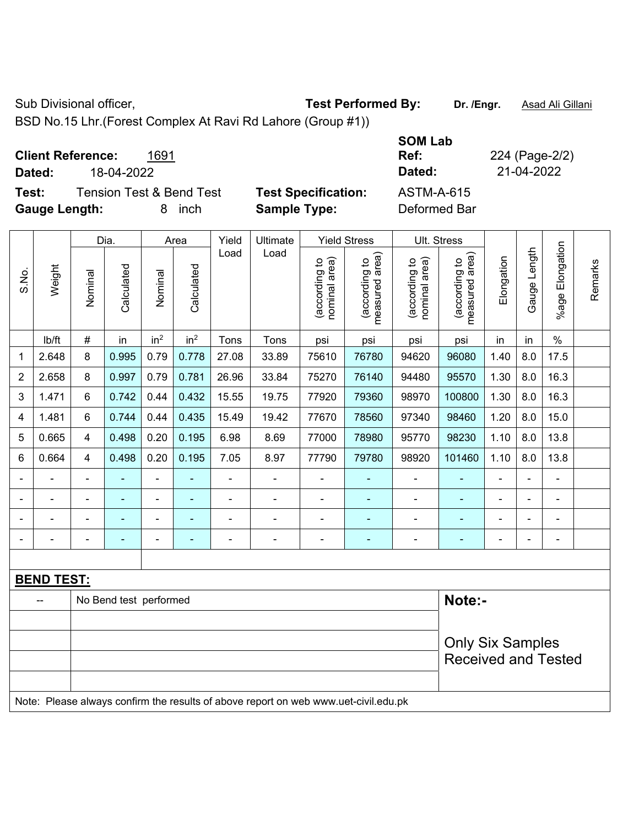Sub Divisional officer, **Test Performed By:** Dr. /Engr. **Asad Ali Gillani** Associated By: Dr. /Engr. **Asad Ali Gillani** 

BSD No.15 Lhr.(Forest Complex At Ravi Rd Lahore (Group #1))

| <b>Client Reference:</b><br>1691<br>18-04-2022<br>Dated: | <b>SOM Lab</b><br>Ref:<br>Dated:                | 224 (Page-2/2)<br>21-04-2022 |
|----------------------------------------------------------|-------------------------------------------------|------------------------------|
| <b>Tension Test &amp; Bend Test</b><br>Test:             | <b>Test Specification:</b><br><b>ASTM-A-615</b> |                              |
| <b>Gauge Length:</b><br>inch<br>8                        | Deformed Bar<br><b>Sample Type:</b>             |                              |

|                |                   |                | Dia.                   |                 | Area            | Yield          | Ultimate                                                                            |                                | <b>Yield Stress</b>             |                                | Ult. Stress                     |                |                |                          |         |
|----------------|-------------------|----------------|------------------------|-----------------|-----------------|----------------|-------------------------------------------------------------------------------------|--------------------------------|---------------------------------|--------------------------------|---------------------------------|----------------|----------------|--------------------------|---------|
| S.No.          | Weight            | Nominal        | Calculated             | Nominal         | Calculated      | Load           | Load                                                                                | nominal area)<br>(according to | measured area)<br>(according to | nominal area)<br>(according to | measured area)<br>(according to | Elongation     | Gauge Length   | %age Elongation          | Remarks |
|                | lb/ft             | #              | in                     | in <sup>2</sup> | in <sup>2</sup> | Tons           | Tons                                                                                | psi                            | psi                             | psi                            | psi                             | in             | in             | $\%$                     |         |
| 1              | 2.648             | 8              | 0.995                  | 0.79            | 0.778           | 27.08          | 33.89                                                                               | 75610                          | 76780                           | 94620                          | 96080                           | 1.40           | 8.0            | 17.5                     |         |
| $\overline{2}$ | 2.658             | 8              | 0.997                  | 0.79            | 0.781           | 26.96          | 33.84                                                                               | 75270                          | 76140                           | 94480                          | 95570                           | 1.30           | 8.0            | 16.3                     |         |
| 3              | 1.471             | 6              | 0.742                  | 0.44            | 0.432           | 15.55          | 19.75                                                                               | 77920                          | 79360                           | 98970                          | 100800                          | 1.30           | 8.0            | 16.3                     |         |
| 4              | 1.481             | 6              | 0.744                  | 0.44            | 0.435           | 15.49          | 19.42                                                                               | 77670                          | 78560                           | 97340                          | 98460                           | 1.20           | 8.0            | 15.0                     |         |
| 5              | 0.665             | 4              | 0.498                  | 0.20            | 0.195           | 6.98           | 8.69                                                                                | 77000                          | 78980                           | 95770                          | 98230                           | 1.10           | 8.0            | 13.8                     |         |
| 6              | 0.664             | 4              | 0.498                  | 0.20            | 0.195           | 7.05           | 8.97                                                                                | 77790                          | 79780                           | 98920                          | 101460                          | 1.10           | 8.0            | 13.8                     |         |
|                |                   |                |                        |                 |                 |                | ä,                                                                                  | $\blacksquare$                 |                                 | $\blacksquare$                 | ä,                              |                |                | L,                       |         |
|                |                   |                |                        | $\blacksquare$  |                 |                | $\blacksquare$                                                                      | $\blacksquare$                 |                                 | $\blacksquare$                 | $\blacksquare$                  |                |                | $\overline{\phantom{a}}$ |         |
|                |                   |                |                        |                 |                 |                | $\blacksquare$                                                                      | $\blacksquare$                 | $\blacksquare$                  | $\blacksquare$                 | $\blacksquare$                  |                |                | $\blacksquare$           |         |
| $\blacksquare$ | $\blacksquare$    | $\blacksquare$ | ÷                      | $\blacksquare$  | ۰               | $\blacksquare$ | $\blacksquare$                                                                      | $\blacksquare$                 | $\blacksquare$                  | $\blacksquare$                 | $\blacksquare$                  | $\blacksquare$ | $\blacksquare$ | $\overline{\phantom{a}}$ |         |
|                |                   |                |                        |                 |                 |                |                                                                                     |                                |                                 |                                |                                 |                |                |                          |         |
|                | <b>BEND TEST:</b> |                |                        |                 |                 |                |                                                                                     |                                |                                 |                                |                                 |                |                |                          |         |
|                |                   |                | No Bend test performed |                 |                 |                |                                                                                     |                                |                                 |                                | Note:-                          |                |                |                          |         |
|                |                   |                |                        |                 |                 |                |                                                                                     |                                |                                 |                                |                                 |                |                |                          |         |
|                |                   |                |                        |                 |                 |                |                                                                                     | <b>Only Six Samples</b>        |                                 |                                |                                 |                |                |                          |         |
|                |                   |                |                        |                 |                 |                |                                                                                     |                                |                                 |                                | <b>Received and Tested</b>      |                |                |                          |         |
|                |                   |                |                        |                 |                 |                |                                                                                     |                                |                                 |                                |                                 |                |                |                          |         |
|                |                   |                |                        |                 |                 |                | Note: Please always confirm the results of above report on web www.uet-civil.edu.pk |                                |                                 |                                |                                 |                |                |                          |         |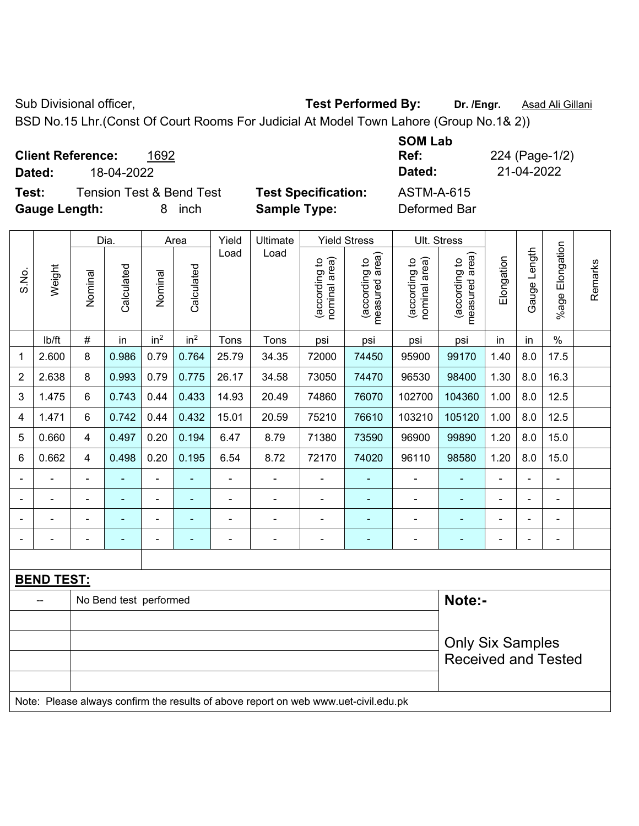Sub Divisional officer, **Test Performed By:** Dr. /Engr. **Asad Ali Gillani** Associated By: Dr. /Engr. **Asad Ali Gillani** 

BSD No.15 Lhr.(Const Of Court Rooms For Judicial At Model Town Lahore (Group No.1& 2))

| <b>Client Reference:</b><br>1692<br>18-04-2022<br>Dated:                          |                                                   | <b>SOM Lab</b><br>Ref:<br>Dated: | 224 (Page-1/2)<br>21-04-2022 |
|-----------------------------------------------------------------------------------|---------------------------------------------------|----------------------------------|------------------------------|
| <b>Tension Test &amp; Bend Test</b><br>Test:<br><b>Gauge Length:</b><br>inch<br>8 | <b>Test Specification:</b><br><b>Sample Type:</b> | ASTM-A-615<br>Deformed Bar       |                              |

|                |                   |                         | Dia.                   |                 | Area            | Yield          | <b>Yield Stress</b><br>Ult. Stress                                                  |                                |                                 |                                |                                 |                |                |                 |         |
|----------------|-------------------|-------------------------|------------------------|-----------------|-----------------|----------------|-------------------------------------------------------------------------------------|--------------------------------|---------------------------------|--------------------------------|---------------------------------|----------------|----------------|-----------------|---------|
| S.No.          | Weight            | Nominal                 | Calculated             | Nominal         | Calculated      | Load           | Load                                                                                | nominal area)<br>(according to | measured area)<br>(according to | nominal area)<br>(according to | (according to<br>measured area) | Elongation     | Gauge Length   | %age Elongation | Remarks |
|                | lb/ft             | $\#$                    | in                     | in <sup>2</sup> | in <sup>2</sup> | Tons           | Tons                                                                                | psi                            | psi                             | psi                            | psi                             | in             | in             | $\%$            |         |
| 1              | 2.600             | 8                       | 0.986                  | 0.79            | 0.764           | 25.79          | 34.35                                                                               | 72000                          | 74450                           | 95900                          | 99170                           | 1.40           | 8.0            | 17.5            |         |
| 2              | 2.638             | 8                       | 0.993                  | 0.79            | 0.775           | 26.17          | 34.58                                                                               | 73050                          | 74470                           | 96530                          | 98400                           | 1.30           | 8.0            | 16.3            |         |
| 3              | 1.475             | 6                       | 0.743                  | 0.44            | 0.433           | 14.93          | 20.49                                                                               | 74860                          | 76070                           | 102700                         | 104360                          | 1.00           | 8.0            | 12.5            |         |
| 4              | 1.471             | 6                       | 0.742                  | 0.44            | 0.432           | 15.01          | 20.59                                                                               | 75210                          | 76610                           | 103210                         | 105120                          | 1.00           | 8.0            | 12.5            |         |
| 5              | 0.660             | $\overline{\mathbf{4}}$ | 0.497                  | 0.20            | 0.194           | 6.47           | 8.79                                                                                | 71380                          | 73590                           | 96900                          | 99890                           | 1.20           | 8.0            | 15.0            |         |
| 6              | 0.662             | $\overline{\mathbf{4}}$ | 0.498                  | 0.20            | 0.195           | 6.54           | 8.72                                                                                | 72170                          | 74020                           | 96110                          | 98580                           | 1.20           | 8.0            | 15.0            |         |
|                |                   | $\blacksquare$          |                        | $\blacksquare$  |                 | $\blacksquare$ | ä,                                                                                  | ä,                             |                                 | $\blacksquare$                 |                                 |                |                | $\blacksquare$  |         |
| $\blacksquare$ |                   |                         |                        | $\blacksquare$  |                 | ä,             | ÷                                                                                   | $\blacksquare$                 |                                 |                                |                                 |                |                | ä,              |         |
| $\blacksquare$ |                   |                         |                        | ÷               |                 |                | ÷                                                                                   | $\blacksquare$                 | ÷                               | $\blacksquare$                 |                                 | $\blacksquare$ | $\blacksquare$ | ÷               |         |
| $\blacksquare$ |                   | $\blacksquare$          | $\blacksquare$         | $\blacksquare$  | ٠               | ä,             | ä,                                                                                  | $\blacksquare$                 | ۰                               | $\blacksquare$                 | ٠                               | $\blacksquare$ |                | ÷               |         |
|                |                   |                         |                        |                 |                 |                |                                                                                     |                                |                                 |                                |                                 |                |                |                 |         |
|                | <b>BEND TEST:</b> |                         |                        |                 |                 |                |                                                                                     |                                |                                 |                                |                                 |                |                |                 |         |
|                |                   |                         | No Bend test performed |                 |                 |                |                                                                                     |                                |                                 |                                | Note:-                          |                |                |                 |         |
|                |                   |                         |                        |                 |                 |                |                                                                                     |                                |                                 |                                |                                 |                |                |                 |         |
|                |                   |                         |                        |                 |                 |                |                                                                                     |                                |                                 |                                | <b>Only Six Samples</b>         |                |                |                 |         |
|                |                   |                         |                        |                 |                 |                |                                                                                     |                                |                                 |                                | <b>Received and Tested</b>      |                |                |                 |         |
|                |                   |                         |                        |                 |                 |                |                                                                                     |                                |                                 |                                |                                 |                |                |                 |         |
|                |                   |                         |                        |                 |                 |                | Note: Please always confirm the results of above report on web www.uet-civil.edu.pk |                                |                                 |                                |                                 |                |                |                 |         |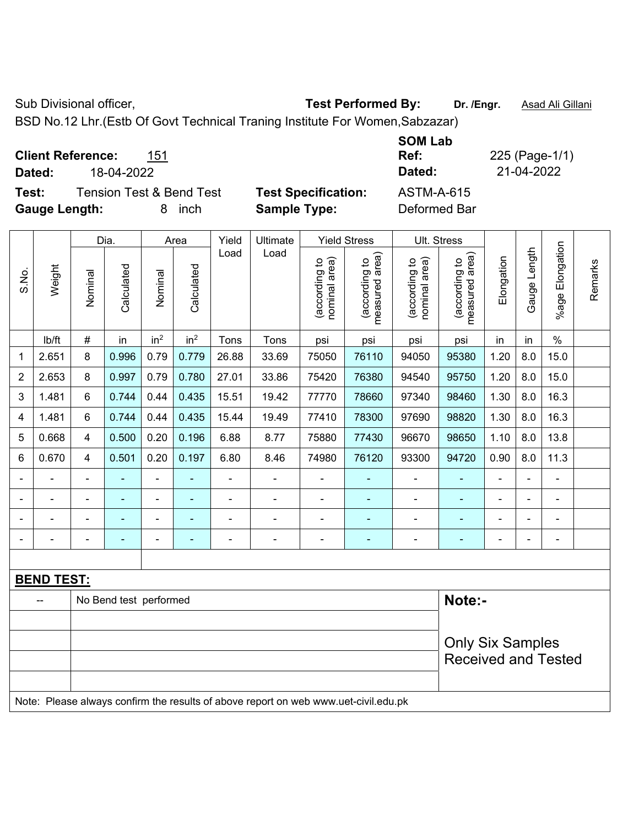BSD No.12 Lhr.(Estb Of Govt Technical Traning Institute For Women,Sabzazar)

| <b>Client Reference:</b><br>151<br>18-04-2022<br>Dated: |                            | <b>SOM Lab</b><br>Ref:<br>Dated: | 225 (Page-1/1)<br>21-04-2022 |
|---------------------------------------------------------|----------------------------|----------------------------------|------------------------------|
| <b>Tension Test &amp; Bend Test</b><br>Test:            | <b>Test Specification:</b> | ASTM-A-615                       |                              |
| <b>Gauge Length:</b><br>inch<br>8                       | <b>Sample Type:</b>        | Deformed Bar                     |                              |

|                |                   | Dia.<br>Yield<br>Ultimate<br><b>Yield Stress</b><br>Area |                        |                 |                 |                |                                                                                     |                                |                                 |                                | Ult. Stress                     |                |              |                 |         |
|----------------|-------------------|----------------------------------------------------------|------------------------|-----------------|-----------------|----------------|-------------------------------------------------------------------------------------|--------------------------------|---------------------------------|--------------------------------|---------------------------------|----------------|--------------|-----------------|---------|
| S.No.          | Weight            | Nominal                                                  | Calculated             | Nominal         | Calculated      | Load           | Load                                                                                | nominal area)<br>(according to | measured area)<br>(according to | nominal area)<br>(according to | measured area)<br>(according to | Elongation     | Gauge Length | %age Elongation | Remarks |
|                | lb/ft             | $\#$                                                     | in                     | in <sup>2</sup> | in <sup>2</sup> | Tons           | Tons                                                                                | psi                            | psi                             | psi                            | psi                             | in             | in           | $\%$            |         |
| 1              | 2.651             | 8                                                        | 0.996                  | 0.79            | 0.779           | 26.88          | 33.69                                                                               | 75050                          | 76110                           | 94050                          | 95380                           | 1.20           | 8.0          | 15.0            |         |
| $\overline{2}$ | 2.653             | 8                                                        | 0.997                  | 0.79            | 0.780           | 27.01          | 33.86                                                                               | 75420                          | 76380                           | 94540                          | 95750                           | 1.20           | 8.0          | 15.0            |         |
| 3              | 1.481             | 6                                                        | 0.744                  | 0.44            | 0.435           | 15.51          | 19.42                                                                               | 77770                          | 78660                           | 97340                          | 98460                           | 1.30           | 8.0          | 16.3            |         |
| 4              | 1.481             | 6                                                        | 0.744                  | 0.44            | 0.435           | 15.44          | 19.49                                                                               | 77410                          | 78300                           | 97690                          | 98820                           | 1.30           | 8.0          | 16.3            |         |
| 5              | 0.668             | 4                                                        | 0.500                  | 0.20            | 0.196           | 6.88           | 8.77                                                                                | 75880                          | 77430                           | 96670                          | 98650                           | 1.10           | 8.0          | 13.8            |         |
| 6              | 0.670             | 4                                                        | 0.501                  | 0.20            | 0.197           | 6.80           | 8.46                                                                                | 74980                          | 76120                           | 93300                          | 94720                           | 0.90           | 8.0          | 11.3            |         |
|                |                   |                                                          |                        | ä,              |                 | ä,             | ä,                                                                                  |                                |                                 |                                |                                 | L,             |              | $\blacksquare$  |         |
|                |                   |                                                          |                        |                 |                 |                | ä,                                                                                  |                                |                                 |                                |                                 |                |              | $\blacksquare$  |         |
|                |                   |                                                          |                        |                 |                 |                |                                                                                     |                                |                                 |                                |                                 |                |              |                 |         |
|                | $\blacksquare$    | $\blacksquare$                                           | $\blacksquare$         | $\overline{a}$  | ۰               | $\blacksquare$ | $\blacksquare$                                                                      | $\blacksquare$                 | ٠                               | $\overline{\phantom{a}}$       | $\blacksquare$                  | $\blacksquare$ |              | $\blacksquare$  |         |
|                |                   |                                                          |                        |                 |                 |                |                                                                                     |                                |                                 |                                |                                 |                |              |                 |         |
|                | <b>BEND TEST:</b> |                                                          |                        |                 |                 |                |                                                                                     |                                |                                 |                                |                                 |                |              |                 |         |
|                |                   |                                                          | No Bend test performed |                 |                 |                |                                                                                     |                                |                                 |                                | Note:-                          |                |              |                 |         |
|                |                   |                                                          |                        |                 |                 |                |                                                                                     |                                |                                 |                                |                                 |                |              |                 |         |
|                |                   |                                                          |                        |                 |                 |                | <b>Only Six Samples</b>                                                             |                                |                                 |                                |                                 |                |              |                 |         |
|                |                   |                                                          |                        |                 |                 |                |                                                                                     |                                |                                 |                                | <b>Received and Tested</b>      |                |              |                 |         |
|                |                   |                                                          |                        |                 |                 |                | Note: Please always confirm the results of above report on web www.uet-civil.edu.pk |                                |                                 |                                |                                 |                |              |                 |         |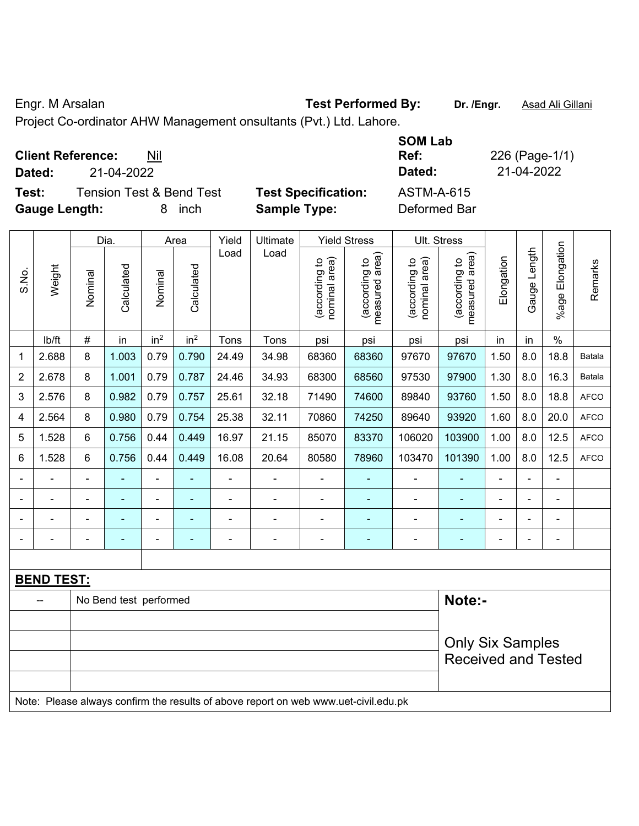Engr. M Arsalan **Test Performed By:** Dr. /Engr. **Asad Ali Gillani Engr.** Asad Ali Gillani

Project Co-ordinator AHW Management onsultants (Pvt.) Ltd. Lahore.

| <b>Client Reference:</b><br>Nil<br>21-04-2022<br>Dated: |                            | <b>SOM Lab</b><br>Ref:<br>Dated: | 226 (Page-1/1)<br>21-04-2022 |
|---------------------------------------------------------|----------------------------|----------------------------------|------------------------------|
| <b>Tension Test &amp; Bend Test</b><br>Test:            | <b>Test Specification:</b> | <b>ASTM-A-615</b>                |                              |
| <b>Gauge Length:</b><br>inch<br>8.                      | <b>Sample Type:</b>        | Deformed Bar                     |                              |

|       |                   | Dia.<br>Yield<br>Ultimate<br><b>Yield Stress</b><br>Area |                        |                 |                 |                |                                                                                     |                                | Ult. Stress                     |                                |                                             |                |                |                       |             |
|-------|-------------------|----------------------------------------------------------|------------------------|-----------------|-----------------|----------------|-------------------------------------------------------------------------------------|--------------------------------|---------------------------------|--------------------------------|---------------------------------------------|----------------|----------------|-----------------------|-------------|
| S.No. | Weight            | Nominal                                                  | Calculated             | Nominal         | Calculated      | Load           | Load                                                                                | nominal area)<br>(according to | measured area)<br>(according to | nominal area)<br>(according to | (according to<br>measured area)<br>measured | Elongation     | Gauge Length   | Elongation<br>$%$ age | Remarks     |
|       | lb/ft             | $\#$                                                     | in                     | in <sup>2</sup> | in <sup>2</sup> | Tons           | Tons                                                                                | psi                            | psi                             | psi                            | psi                                         | in             | in             | $\%$                  |             |
| 1     | 2.688             | 8                                                        | 1.003                  | 0.79            | 0.790           | 24.49          | 34.98                                                                               | 68360                          | 68360                           | 97670                          | 97670                                       | 1.50           | 8.0            | 18.8                  | Batala      |
| 2     | 2.678             | 8                                                        | 1.001                  | 0.79            | 0.787           | 24.46          | 34.93                                                                               | 68300                          | 68560                           | 97530                          | 97900                                       | 1.30           | 8.0            | 16.3                  | Batala      |
| 3     | 2.576             | 8                                                        | 0.982                  | 0.79            | 0.757           | 25.61          | 32.18                                                                               | 71490                          | 74600                           | 89840                          | 93760                                       | 1.50           | 8.0            | 18.8                  | <b>AFCO</b> |
| 4     | 2.564             | 8                                                        | 0.980                  | 0.79            | 0.754           | 25.38          | 32.11                                                                               | 70860                          | 74250                           | 89640                          | 93920                                       | 1.60           | 8.0            | 20.0                  | <b>AFCO</b> |
| 5     | 1.528             | 6                                                        | 0.756                  | 0.44            | 0.449           | 16.97          | 21.15                                                                               | 85070                          | 83370                           | 106020                         | 103900                                      | 1.00           | 8.0            | 12.5                  | <b>AFCO</b> |
| 6     | 1.528             | 6                                                        | 0.756                  | 0.44            | 0.449           | 16.08          | 20.64                                                                               | 80580                          | 78960                           | 103470                         | 101390                                      | 1.00           | 8.0            | 12.5                  | <b>AFCO</b> |
|       | $\blacksquare$    | $\blacksquare$                                           | ä,                     | $\overline{a}$  | ÷               | $\blacksquare$ | ÷                                                                                   | $\blacksquare$                 | ۰                               | $\blacksquare$                 | $\blacksquare$                              | $\blacksquare$ | $\blacksquare$ | ÷,                    |             |
|       |                   |                                                          | L,                     | ä,              |                 |                | ä,                                                                                  | ä,                             |                                 | $\blacksquare$                 | ä,                                          |                |                | ä,                    |             |
|       |                   |                                                          |                        | ۰               |                 |                | $\blacksquare$                                                                      | ä,                             |                                 | $\blacksquare$                 | $\blacksquare$                              |                |                | ÷                     |             |
|       |                   |                                                          |                        | $\blacksquare$  |                 |                | $\blacksquare$                                                                      | ä,                             | $\blacksquare$                  | $\blacksquare$                 | $\blacksquare$                              |                |                | $\blacksquare$        |             |
|       |                   |                                                          |                        |                 |                 |                |                                                                                     |                                |                                 |                                |                                             |                |                |                       |             |
|       | <b>BEND TEST:</b> |                                                          |                        |                 |                 |                |                                                                                     |                                |                                 |                                |                                             |                |                |                       |             |
|       |                   |                                                          | No Bend test performed |                 |                 |                |                                                                                     |                                |                                 |                                | Note:-                                      |                |                |                       |             |
|       |                   |                                                          |                        |                 |                 |                |                                                                                     |                                |                                 |                                |                                             |                |                |                       |             |
|       |                   |                                                          |                        |                 |                 |                |                                                                                     | <b>Only Six Samples</b>        |                                 |                                |                                             |                |                |                       |             |
|       |                   |                                                          |                        |                 |                 |                |                                                                                     |                                |                                 |                                | <b>Received and Tested</b>                  |                |                |                       |             |
|       |                   |                                                          |                        |                 |                 |                |                                                                                     |                                |                                 |                                |                                             |                |                |                       |             |
|       |                   |                                                          |                        |                 |                 |                | Note: Please always confirm the results of above report on web www.uet-civil.edu.pk |                                |                                 |                                |                                             |                |                |                       |             |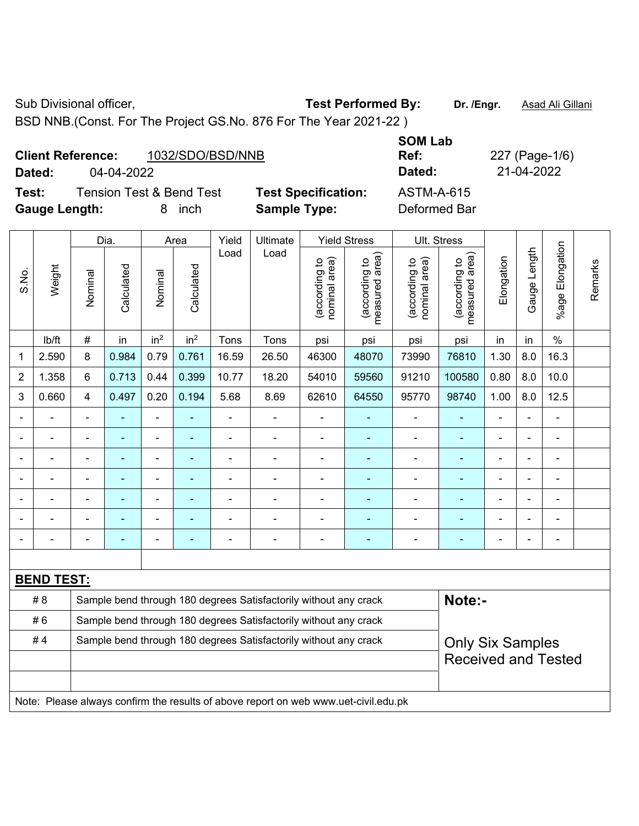BSD NNB.(Const. For The Project GS.No. 876 For The Year 2021-22 )

|                      | <b>Client Reference:</b> | 1032/SDO/BSD/NNB                    |                            | <b>SOM Lab</b><br>Ref: |
|----------------------|--------------------------|-------------------------------------|----------------------------|------------------------|
| Dated:               | 04-04-2022               |                                     |                            | Dated:                 |
| Test:                |                          | <b>Tension Test &amp; Bend Test</b> | <b>Test Specification:</b> | <b>ASTM-A-615</b>      |
| <b>Gauge Length:</b> |                          | inch                                | <b>Sample Type:</b>        | Deformed Bar           |

|                |                   |                         | Dia.       |                 | Area            | Yield          | Ultimate                                                                            |                                | <b>Yield Stress</b>             |                                | Ult. Stress                                 |                |                |                       |         |
|----------------|-------------------|-------------------------|------------|-----------------|-----------------|----------------|-------------------------------------------------------------------------------------|--------------------------------|---------------------------------|--------------------------------|---------------------------------------------|----------------|----------------|-----------------------|---------|
| S.No.          | Weight            | Nominal                 | Calculated | Nominal         | Calculated      | Load           | Load                                                                                | nominal area)<br>(according to | measured area)<br>(according to | (according to<br>nominal area) | (according to<br>neasured area)<br>measured | Elongation     | Gauge Length   | Elongation<br>$%$ age | Remarks |
|                | lb/ft             | #                       | in         | in <sup>2</sup> | in <sup>2</sup> | Tons           | Tons                                                                                | psi                            | psi                             | psi                            | psi                                         | in             | in             | $\%$                  |         |
| 1              | 2.590             | 8                       | 0.984      | 0.79            | 0.761           | 16.59          | 26.50                                                                               | 46300                          | 48070                           | 73990                          | 76810                                       | 1.30           | 8.0            | 16.3                  |         |
| $\overline{2}$ | 1.358             | 6                       | 0.713      | 0.44            | 0.399           | 10.77          | 18.20                                                                               | 54010                          | 59560                           | 91210                          | 100580                                      | 0.80           | 8.0            | 10.0                  |         |
| 3              | 0.660             | $\overline{\mathbf{4}}$ | 0.497      | 0.20            | 0.194           | 5.68           | 8.69                                                                                | 62610                          | 64550                           | 95770                          | 98740                                       | 1.00           | 8.0            | 12.5                  |         |
|                |                   | $\blacksquare$          | ÷,         | $\blacksquare$  | $\blacksquare$  | ÷,             | ä,                                                                                  | $\blacksquare$                 | $\blacksquare$                  | $\blacksquare$                 | $\blacksquare$                              | $\blacksquare$ |                | $\blacksquare$        |         |
|                |                   |                         | L.         | $\blacksquare$  |                 |                | $\blacksquare$                                                                      | $\overline{a}$                 | $\blacksquare$                  | $\blacksquare$                 | L,                                          | $\overline{a}$ |                | $\overline{a}$        |         |
|                |                   |                         | ۰          | $\blacksquare$  |                 |                | $\blacksquare$                                                                      | $\blacksquare$                 |                                 |                                |                                             |                |                | $\blacksquare$        |         |
|                |                   |                         |            | $\blacksquare$  |                 |                | $\blacksquare$                                                                      | $\blacksquare$                 | $\blacksquare$                  | $\blacksquare$                 |                                             | $\blacksquare$ |                | $\blacksquare$        |         |
|                | $\blacksquare$    |                         | ÷,         | $\blacksquare$  | ۰               |                | ÷                                                                                   | $\blacksquare$                 | $\blacksquare$                  | ÷                              | ÷                                           | $\blacksquare$ | $\blacksquare$ | $\blacksquare$        |         |
|                |                   |                         | ۰          | $\blacksquare$  |                 |                |                                                                                     |                                |                                 |                                |                                             |                |                | ä,                    |         |
|                |                   |                         | ÷,         | $\blacksquare$  |                 | $\blacksquare$ | ÷                                                                                   | $\blacksquare$                 | $\blacksquare$                  | $\blacksquare$                 | ÷                                           | $\blacksquare$ |                | ä,                    |         |
|                |                   |                         |            |                 |                 |                |                                                                                     |                                |                                 |                                |                                             |                |                |                       |         |
|                | <b>BEND TEST:</b> |                         |            |                 |                 |                |                                                                                     |                                |                                 |                                |                                             |                |                |                       |         |
|                | # 8               |                         |            |                 |                 |                | Sample bend through 180 degrees Satisfactorily without any crack                    |                                |                                 |                                | Note:-                                      |                |                |                       |         |
|                | #6                |                         |            |                 |                 |                | Sample bend through 180 degrees Satisfactorily without any crack                    |                                |                                 |                                |                                             |                |                |                       |         |
|                | #4                |                         |            |                 |                 |                | Sample bend through 180 degrees Satisfactorily without any crack                    |                                |                                 |                                | <b>Only Six Samples</b>                     |                |                |                       |         |
|                |                   |                         |            |                 |                 |                |                                                                                     |                                |                                 |                                | <b>Received and Tested</b>                  |                |                |                       |         |
|                |                   |                         |            |                 |                 |                |                                                                                     |                                |                                 |                                |                                             |                |                |                       |         |
|                |                   |                         |            |                 |                 |                | Note: Please always confirm the results of above report on web www.uet-civil.edu.pk |                                |                                 |                                |                                             |                |                |                       |         |

**Ref:** 227 (Page-1/6) **Dated:** 04-04-2022 **Dated:** 21-04-2022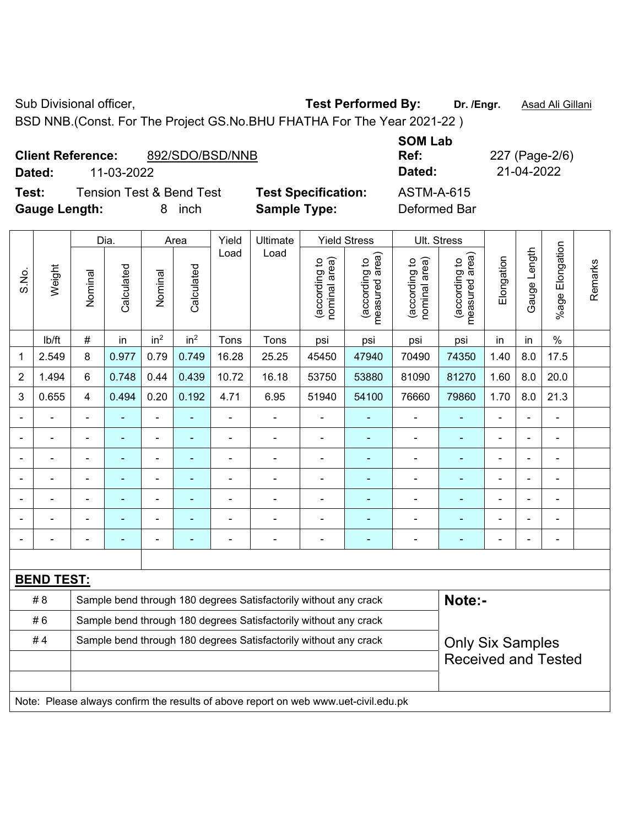BSD NNB.(Const. For The Project GS.No.BHU FHATHA For The Year 2021-22 )

|                      | <b>Client Reference:</b> | 892/SDO/BSD/NNB                     |                            | <b>JUIVI LAN</b><br>Ref: |
|----------------------|--------------------------|-------------------------------------|----------------------------|--------------------------|
| Dated:               | 11-03-2022               |                                     |                            | Dated:                   |
| Test:                |                          | <b>Tension Test &amp; Bend Test</b> | <b>Test Specification:</b> | <b>ASTM-A-615</b>        |
| <b>Gauge Length:</b> |                          | inch                                | <b>Sample Type:</b>        | Deformed Bar             |

**SOM Lab Ref:** 227 (Page-2/6) **Dated:** 11-03-2022 **Dated:** 21-04-2022 **Test:** ASTM-A-615

|                          |                   |                          | Dia.                     |                 | Area            | Yield          | Ultimate                                                                            |                                | <b>Yield Stress</b>             |                                | Ult. Stress                        |                |                |                      |         |
|--------------------------|-------------------|--------------------------|--------------------------|-----------------|-----------------|----------------|-------------------------------------------------------------------------------------|--------------------------------|---------------------------------|--------------------------------|------------------------------------|----------------|----------------|----------------------|---------|
| S.No.                    | Weight            | Nominal                  | Calculated               | Nominal         | Calculated      | Load           | Load                                                                                | nominal area)<br>(according to | measured area)<br>(according to | (according to<br>nominal area) | area)<br>(according to<br>measured | Elongation     | Gauge Length   | Elongation<br>%age l | Remarks |
|                          | lb/ft             | $\#$                     | in                       | in <sup>2</sup> | in <sup>2</sup> | Tons           | Tons                                                                                | psi                            | psi                             | psi                            | psi                                | in             | in             | $\%$                 |         |
| 1                        | 2.549             | 8                        | 0.977                    | 0.79            | 0.749           | 16.28          | 25.25                                                                               | 45450                          | 47940                           | 70490                          | 74350                              | 1.40           | 8.0            | 17.5                 |         |
| $\overline{2}$           | 1.494             | 6                        | 0.748                    | 0.44            | 0.439           | 10.72          | 16.18                                                                               | 53750                          | 53880                           | 81090                          | 81270                              | 1.60           | 8.0            | 20.0                 |         |
| 3                        | 0.655             | $\overline{\mathbf{4}}$  | 0.494                    | 0.20            | 0.192           | 4.71           | 6.95                                                                                | 51940                          | 54100                           | 76660                          | 79860                              | 1.70           | 8.0            | 21.3                 |         |
| $\blacksquare$           |                   | $\blacksquare$           | ä,                       | ä,              |                 | ä,             | $\blacksquare$                                                                      | ä,                             |                                 | ÷,                             |                                    | $\blacksquare$ |                | ÷,                   |         |
| $\blacksquare$           | Ē,                | Ē,                       | $\blacksquare$           | $\blacksquare$  | $\blacksquare$  | $\blacksquare$ | $\blacksquare$                                                                      | $\blacksquare$                 | $\blacksquare$                  | $\blacksquare$                 | $\blacksquare$                     | ä,             |                | $\blacksquare$       |         |
|                          |                   |                          |                          |                 |                 |                | $\overline{a}$                                                                      | $\blacksquare$                 |                                 | $\blacksquare$                 |                                    |                |                | $\blacksquare$       |         |
|                          |                   | Ē,                       | ÷                        |                 |                 |                | $\blacksquare$                                                                      | $\blacksquare$                 | $\blacksquare$                  | $\blacksquare$                 | $\blacksquare$                     | $\blacksquare$ | ä,             | $\blacksquare$       |         |
| $\overline{\phantom{0}}$ |                   | $\blacksquare$           | ۰                        | ۰               |                 |                | $\blacksquare$                                                                      | $\blacksquare$                 |                                 | $\blacksquare$                 | $\overline{\phantom{a}}$           | $\blacksquare$ | $\blacksquare$ | $\blacksquare$       |         |
| $\blacksquare$           |                   |                          | ۰                        |                 |                 |                |                                                                                     |                                | $\overline{\phantom{0}}$        | $\blacksquare$                 |                                    | Ē,             | $\overline{a}$ | ÷                    |         |
| $\blacksquare$           |                   | $\overline{\phantom{a}}$ | $\overline{\phantom{0}}$ | ÷               | ٠               | ٠              | $\blacksquare$                                                                      | $\qquad \qquad \blacksquare$   | $\overline{\phantom{0}}$        | $\blacksquare$                 | ÷                                  | ä,             |                | ÷,                   |         |
|                          |                   |                          |                          |                 |                 |                |                                                                                     |                                |                                 |                                |                                    |                |                |                      |         |
|                          | <b>BEND TEST:</b> |                          |                          |                 |                 |                |                                                                                     |                                |                                 |                                |                                    |                |                |                      |         |
|                          | # 8               |                          |                          |                 |                 |                | Sample bend through 180 degrees Satisfactorily without any crack                    |                                |                                 |                                | Note:-                             |                |                |                      |         |
|                          | #6                |                          |                          |                 |                 |                | Sample bend through 180 degrees Satisfactorily without any crack                    |                                |                                 |                                |                                    |                |                |                      |         |
|                          | #4                |                          |                          |                 |                 |                | Sample bend through 180 degrees Satisfactorily without any crack                    |                                |                                 |                                | <b>Only Six Samples</b>            |                |                |                      |         |
|                          |                   |                          |                          |                 |                 |                |                                                                                     |                                |                                 |                                | <b>Received and Tested</b>         |                |                |                      |         |
|                          |                   |                          |                          |                 |                 |                |                                                                                     |                                |                                 |                                |                                    |                |                |                      |         |
|                          |                   |                          |                          |                 |                 |                | Note: Please always confirm the results of above report on web www.uet-civil.edu.pk |                                |                                 |                                |                                    |                |                |                      |         |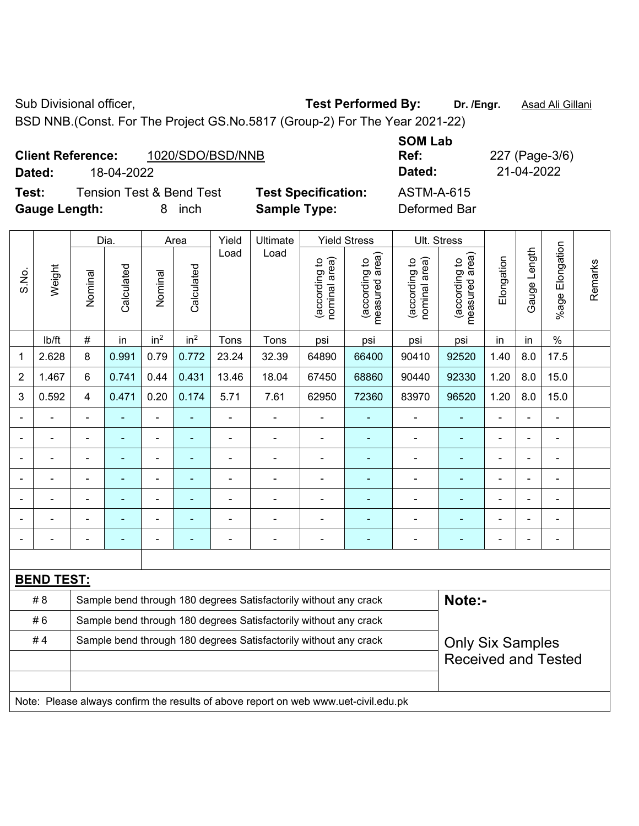BSD NNB.(Const. For The Project GS.No.5817 (Group-2) For The Year 2021-22)

| <b>Client Reference:</b> | 1020/SDO/BSD/NNB | Ref:   | 227 (Page-3/ |
|--------------------------|------------------|--------|--------------|
| Dated:                   | 18-04-2022       | Dated: | 21-04-2022   |

**Test:** Tension Test & Bend Test **Test Specification:** ASTM-A-615 **Gauge Length:** 8 inch **Sample Type:** Deformed Bar

**SOM Lab Ref:** 227 (Page-3/6)

|                |                   |                | Dia.           |                 | Area            | Yield          | Ultimate                                                                            |                                | <b>Yield Stress</b>             |                                | Ult. Stress                     |                |                |                       |         |
|----------------|-------------------|----------------|----------------|-----------------|-----------------|----------------|-------------------------------------------------------------------------------------|--------------------------------|---------------------------------|--------------------------------|---------------------------------|----------------|----------------|-----------------------|---------|
| S.No.          | Weight            | Nominal        | Calculated     | Nominal         | Calculated      | Load           | Load                                                                                | nominal area)<br>(according to | (according to<br>measured area) | (according to<br>nominal area) | (according to<br>measured area) | Elongation     | Gauge Length   | Elongation<br>$%$ age | Remarks |
|                | lb/ft             | $\#$           | in             | in <sup>2</sup> | in <sup>2</sup> | Tons           | Tons                                                                                | psi                            | psi                             | psi                            | psi                             | in             | in             | $\%$                  |         |
| 1              | 2.628             | 8              | 0.991          | 0.79            | 0.772           | 23.24          | 32.39                                                                               | 64890                          | 66400                           | 90410                          | 92520                           | 1.40           | 8.0            | 17.5                  |         |
| $\overline{2}$ | 1.467             | 6              | 0.741          | 0.44            | 0.431           | 13.46          | 18.04                                                                               | 67450                          | 68860                           | 90440                          | 92330                           | 1.20           | 8.0            | 15.0                  |         |
| 3              | 0.592             | $\overline{4}$ | 0.471          | 0.20            | 0.174           | 5.71           | 7.61                                                                                | 62950                          | 72360                           | 83970                          | 96520                           | 1.20           | 8.0            | 15.0                  |         |
|                |                   | $\blacksquare$ | ÷,             | ÷,              | ÷               | $\blacksquare$ | $\blacksquare$                                                                      | ä,                             | ۰                               | $\blacksquare$                 | $\blacksquare$                  | $\blacksquare$ | $\blacksquare$ | ÷,                    |         |
|                | $\overline{a}$    | $\blacksquare$ | $\blacksquare$ | $\blacksquare$  | $\sim$          | $\blacksquare$ | $\blacksquare$                                                                      | ä,                             | $\blacksquare$                  | $\overline{\phantom{a}}$       | $\blacksquare$                  | $\blacksquare$ | $\blacksquare$ | $\frac{1}{2}$         |         |
|                |                   | $\overline{a}$ | $\blacksquare$ | ÷,              | ä,              | $\blacksquare$ | $\blacksquare$                                                                      | $\blacksquare$                 | $\blacksquare$                  | ä,                             | $\blacksquare$                  | $\blacksquare$ |                | ÷,                    |         |
|                |                   |                | ÷              | ä,              |                 |                | ÷                                                                                   | $\blacksquare$                 |                                 | $\blacksquare$                 |                                 |                |                | ä,                    |         |
|                |                   |                |                | ÷               |                 |                | $\blacksquare$                                                                      | $\blacksquare$                 |                                 |                                |                                 |                |                | ÷                     |         |
|                |                   |                | ÷              | $\blacksquare$  | ÷               | $\blacksquare$ | Ē,                                                                                  | $\blacksquare$                 | ٠                               | $\blacksquare$                 | ä,                              | $\blacksquare$ | $\blacksquare$ | ÷,                    |         |
|                |                   |                | $\blacksquare$ | ÷               | $\blacksquare$  | $\blacksquare$ | ٠                                                                                   | $\overline{a}$                 | $\overline{\phantom{a}}$        | $\overline{\phantom{0}}$       | $\blacksquare$                  | $\blacksquare$ |                | ÷,                    |         |
|                |                   |                |                |                 |                 |                |                                                                                     |                                |                                 |                                |                                 |                |                |                       |         |
|                | <b>BEND TEST:</b> |                |                |                 |                 |                |                                                                                     |                                |                                 |                                |                                 |                |                |                       |         |
|                | # 8               |                |                |                 |                 |                | Sample bend through 180 degrees Satisfactorily without any crack                    |                                |                                 |                                | Note:-                          |                |                |                       |         |
|                | #6                |                |                |                 |                 |                | Sample bend through 180 degrees Satisfactorily without any crack                    |                                |                                 |                                |                                 |                |                |                       |         |
|                | #4                |                |                |                 |                 |                | Sample bend through 180 degrees Satisfactorily without any crack                    |                                |                                 |                                | <b>Only Six Samples</b>         |                |                |                       |         |
|                |                   |                |                |                 |                 |                |                                                                                     |                                |                                 |                                | <b>Received and Tested</b>      |                |                |                       |         |
|                |                   |                |                |                 |                 |                |                                                                                     |                                |                                 |                                |                                 |                |                |                       |         |
|                |                   |                |                |                 |                 |                | Note: Please always confirm the results of above report on web www.uet-civil.edu.pk |                                |                                 |                                |                                 |                |                |                       |         |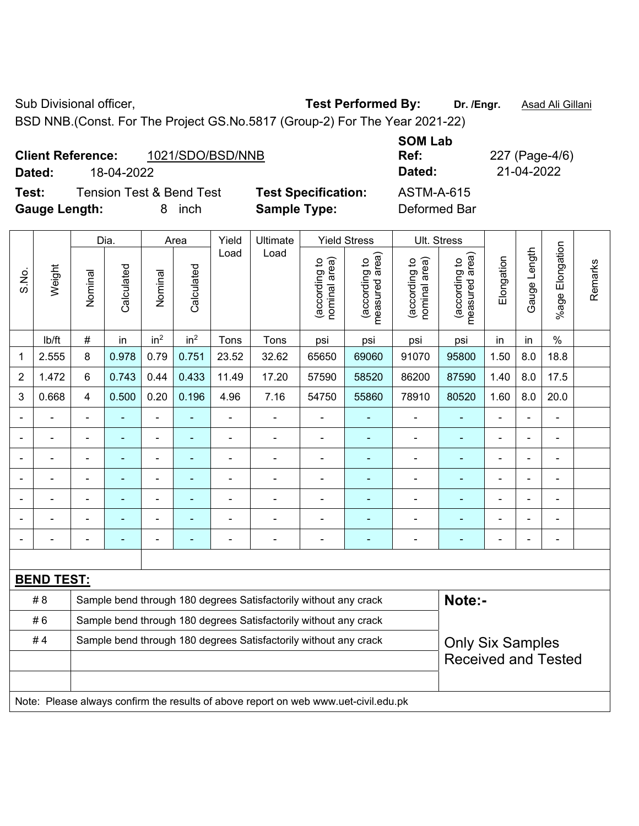BSD NNB.(Const. For The Project GS.No.5817 (Group-2) For The Year 2021-22)

| <b>Client Reference:</b> |            | 1021/SDO/BSD/NNB |
|--------------------------|------------|------------------|
| <b>Dated:</b>            | 18-04-2022 |                  |

**Test:** Tension Test & Bend Test **Test Specification:** ASTM-A-615 **Gauge Length:** 8 inch **Sample Type:** Deformed Bar

**SOM Lab Ref:** 227 (Page-4/6) **Dated:** 18-04-2022 **Dated:** 21-04-2022

|                |                   |                                                                                             | Dia.           |                          | Area            | Yield          | Ultimate                                                                            |                                | <b>Yield Stress</b>             | Ult. Stress                    |                                 |                |              |                       |         |
|----------------|-------------------|---------------------------------------------------------------------------------------------|----------------|--------------------------|-----------------|----------------|-------------------------------------------------------------------------------------|--------------------------------|---------------------------------|--------------------------------|---------------------------------|----------------|--------------|-----------------------|---------|
| S.No.          | Weight            | Nominal                                                                                     | Calculated     | Nominal                  | Calculated      | Load           | Load                                                                                | nominal area)<br>(according to | (according to<br>measured area) | (according to<br>nominal area) | (according to<br>measured area) | Elongation     | Gauge Length | Elongation<br>$%$ age | Remarks |
|                | lb/ft             | $\#$                                                                                        | in             | in <sup>2</sup>          | in <sup>2</sup> | Tons           | Tons                                                                                | psi                            | psi                             | psi                            | psi                             | in             | in           | $\frac{0}{0}$         |         |
| 1              | 2.555             | 8                                                                                           | 0.978          | 0.79                     | 0.751           | 23.52          | 32.62                                                                               | 65650                          | 69060                           | 91070                          | 95800                           | 1.50           | 8.0          | 18.8                  |         |
| $\overline{2}$ | 1.472             | 6                                                                                           | 0.743          | 0.44                     | 0.433           | 11.49          | 17.20                                                                               | 57590                          | 58520                           | 86200                          | 87590                           | 1.40           | 8.0          | 17.5                  |         |
| 3              | 0.668             | $\overline{4}$                                                                              | 0.500          | 0.20                     | 0.196           | 4.96           | 7.16                                                                                | 54750                          | 55860                           | 78910                          | 80520                           | 1.60           | 8.0          | 20.0                  |         |
|                |                   | ä,                                                                                          | ä,             | ÷,                       |                 | ä,             | ÷,                                                                                  | ä,                             | ÷                               | $\blacksquare$                 | $\blacksquare$                  | $\blacksquare$ |              | $\blacksquare$        |         |
|                |                   | $\blacksquare$                                                                              | ä,             | $\blacksquare$           | ٠               | $\blacksquare$ | ä,                                                                                  | ä,                             | ä,                              | $\blacksquare$                 | $\blacksquare$                  | ÷              |              | $\blacksquare$        |         |
|                |                   | $\blacksquare$                                                                              | $\blacksquare$ | $\blacksquare$           | ÷               | $\blacksquare$ | $\blacksquare$                                                                      | $\blacksquare$                 |                                 | $\blacksquare$                 | $\blacksquare$                  | ä,             |              | $\blacksquare$        |         |
|                |                   |                                                                                             | $\blacksquare$ | $\blacksquare$           |                 | $\blacksquare$ | $\blacksquare$                                                                      | $\blacksquare$                 |                                 | $\blacksquare$                 | $\sim$                          | $\blacksquare$ |              | $\blacksquare$        |         |
|                |                   |                                                                                             | ٠              | $\overline{\phantom{a}}$ |                 | ٠              | ÷                                                                                   | $\blacksquare$                 |                                 | $\blacksquare$                 | $\blacksquare$                  | $\blacksquare$ |              | $\blacksquare$        |         |
|                |                   |                                                                                             | ٠              | ÷                        |                 |                | Ē,                                                                                  | $\overline{a}$                 |                                 | $\blacksquare$                 |                                 | ä,             |              | ä,                    |         |
|                |                   | $\blacksquare$                                                                              | $\blacksquare$ | $\blacksquare$           | ۰               | $\overline{a}$ | ÷                                                                                   | $\overline{a}$                 |                                 | $\overline{a}$                 | $\blacksquare$                  | $\blacksquare$ |              | $\blacksquare$        |         |
|                |                   |                                                                                             |                |                          |                 |                |                                                                                     |                                |                                 |                                |                                 |                |              |                       |         |
|                | <b>BEND TEST:</b> |                                                                                             |                |                          |                 |                |                                                                                     |                                |                                 |                                |                                 |                |              |                       |         |
|                | # 8               |                                                                                             |                |                          |                 |                | Sample bend through 180 degrees Satisfactorily without any crack                    |                                |                                 |                                | Note:-                          |                |              |                       |         |
|                | #6                |                                                                                             |                |                          |                 |                | Sample bend through 180 degrees Satisfactorily without any crack                    |                                |                                 |                                |                                 |                |              |                       |         |
|                | #4                | Sample bend through 180 degrees Satisfactorily without any crack<br><b>Only Six Samples</b> |                |                          |                 |                |                                                                                     |                                |                                 |                                |                                 |                |              |                       |         |
|                |                   |                                                                                             |                |                          |                 |                |                                                                                     |                                |                                 |                                | <b>Received and Tested</b>      |                |              |                       |         |
|                |                   |                                                                                             |                |                          |                 |                |                                                                                     |                                |                                 |                                |                                 |                |              |                       |         |
|                |                   |                                                                                             |                |                          |                 |                | Note: Please always confirm the results of above report on web www.uet-civil.edu.pk |                                |                                 |                                |                                 |                |              |                       |         |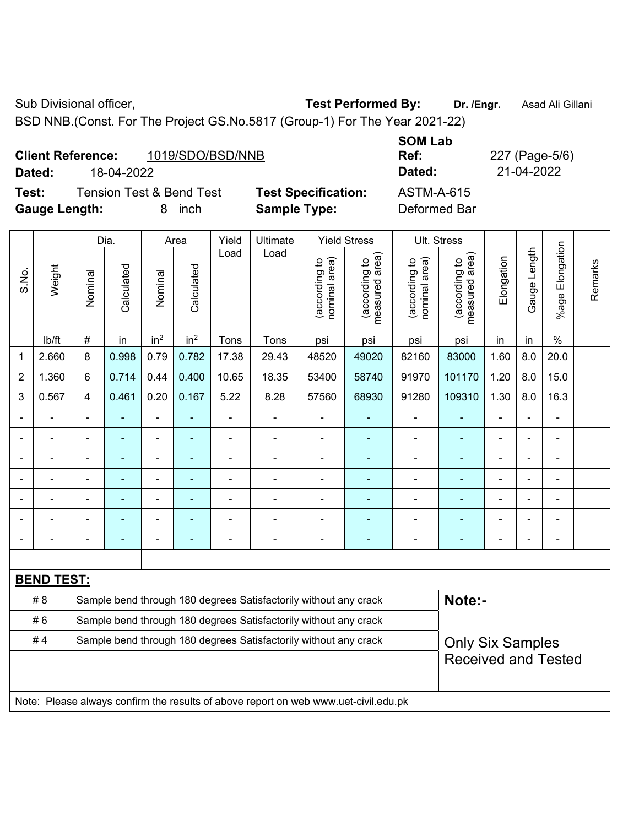Sub Divisional officer, **Test Performed By:** Dr. /Engr. **Asad Ali Gillani** Collection Association Association Association Association Association Association Association Association Association Association Association Asso

BSD NNB.(Const. For The Project GS.No.5817 (Group-1) For The Year 2021-22)

| <b>Client Reference:</b> |            | 1019/SDO/BSD/NNB | Ref:   | 227 (Page-5/ |
|--------------------------|------------|------------------|--------|--------------|
| Dated:                   | 18-04-2022 |                  | Dated: | 21-04-2022   |

**Test:** Tension Test & Bend Test **Test Specification:** ASTM-A-615 **Gauge Length:** 8 inch **Sample Type:** Deformed Bar

**SOM Lab Ref:** 227 (Page-5/6)

|                |                   |                                                                                             | Dia.           |                              | Area            | Yield          | Ultimate                                                                            |                                | <b>Yield Stress</b>             |                                | Ult. Stress                     |                              |                |                       |         |
|----------------|-------------------|---------------------------------------------------------------------------------------------|----------------|------------------------------|-----------------|----------------|-------------------------------------------------------------------------------------|--------------------------------|---------------------------------|--------------------------------|---------------------------------|------------------------------|----------------|-----------------------|---------|
| S.No.          | Weight            | Nominal                                                                                     | Calculated     | Nominal                      | Calculated      | Load           | Load                                                                                | nominal area)<br>(according to | (according to<br>measured area) | (according to<br>nominal area) | (according to<br>measured area) | Elongation                   | Gauge Length   | Elongation<br>$%$ age | Remarks |
|                | lb/ft             | $\#$                                                                                        | in             | in <sup>2</sup>              | in <sup>2</sup> | Tons           | Tons                                                                                | psi                            | psi                             | psi                            | psi                             | in                           | in             | $\frac{0}{0}$         |         |
| 1              | 2.660             | 8                                                                                           | 0.998          | 0.79                         | 0.782           | 17.38          | 29.43                                                                               | 48520                          | 49020                           | 82160                          | 83000                           | 1.60                         | 8.0            | 20.0                  |         |
| $\overline{2}$ | 1.360             | 6                                                                                           | 0.714          | 0.44                         | 0.400           | 10.65          | 18.35                                                                               | 53400                          | 58740                           | 91970                          | 101170                          | 1.20                         | 8.0            | 15.0                  |         |
| 3              | 0.567             | $\overline{4}$                                                                              | 0.461          | 0.20                         | 0.167           | 5.22           | 8.28                                                                                | 57560                          | 68930                           | 91280                          | 109310                          | 1.30                         | 8.0            | 16.3                  |         |
| $\blacksquare$ |                   | $\blacksquare$                                                                              | ÷              | $\blacksquare$               |                 | $\blacksquare$ | $\blacksquare$                                                                      | $\blacksquare$                 | $\blacksquare$                  | $\overline{\phantom{a}}$       |                                 | $\blacksquare$               |                | ä,                    |         |
| $\overline{a}$ |                   | $\blacksquare$                                                                              | ÷              | $\qquad \qquad \blacksquare$ | $\blacksquare$  | $\blacksquare$ | $\blacksquare$                                                                      | $\blacksquare$                 | $\blacksquare$                  | $\overline{\phantom{a}}$       | $\blacksquare$                  | $\qquad \qquad \blacksquare$ | $\blacksquare$ | $\blacksquare$        |         |
|                |                   | $\blacksquare$                                                                              | ä,             | ÷,                           | ä,              | $\overline{a}$ | ÷,                                                                                  | L,                             | $\blacksquare$                  | $\blacksquare$                 | $\frac{1}{2}$                   | $\blacksquare$               |                | $\blacksquare$        |         |
|                |                   |                                                                                             | ÷              | $\blacksquare$               |                 |                | ÷,                                                                                  | ÷                              |                                 | Ē,                             |                                 | $\blacksquare$               |                | ÷                     |         |
|                |                   |                                                                                             |                |                              |                 |                |                                                                                     |                                |                                 |                                |                                 |                              |                | ÷                     |         |
|                |                   |                                                                                             | ۰              | $\blacksquare$               |                 |                | $\blacksquare$                                                                      | $\blacksquare$                 | ۰                               | ۰                              | $\blacksquare$                  | $\blacksquare$               |                | ÷                     |         |
| $\blacksquare$ |                   | $\blacksquare$                                                                              | $\blacksquare$ | $\blacksquare$               | $\blacksquare$  | Ē,             | ÷,                                                                                  | $\blacksquare$                 | $\blacksquare$                  | $\blacksquare$                 | $\blacksquare$                  | ۰                            |                | ä,                    |         |
|                |                   |                                                                                             |                |                              |                 |                |                                                                                     |                                |                                 |                                |                                 |                              |                |                       |         |
|                | <b>BEND TEST:</b> |                                                                                             |                |                              |                 |                |                                                                                     |                                |                                 |                                |                                 |                              |                |                       |         |
|                | # 8               |                                                                                             |                |                              |                 |                | Sample bend through 180 degrees Satisfactorily without any crack                    |                                |                                 |                                | Note:-                          |                              |                |                       |         |
|                | #6                |                                                                                             |                |                              |                 |                | Sample bend through 180 degrees Satisfactorily without any crack                    |                                |                                 |                                |                                 |                              |                |                       |         |
|                | #4                | Sample bend through 180 degrees Satisfactorily without any crack<br><b>Only Six Samples</b> |                |                              |                 |                |                                                                                     |                                |                                 |                                |                                 |                              |                |                       |         |
|                |                   |                                                                                             |                |                              |                 |                |                                                                                     |                                |                                 |                                | <b>Received and Tested</b>      |                              |                |                       |         |
|                |                   |                                                                                             |                |                              |                 |                |                                                                                     |                                |                                 |                                |                                 |                              |                |                       |         |
|                |                   |                                                                                             |                |                              |                 |                | Note: Please always confirm the results of above report on web www.uet-civil.edu.pk |                                |                                 |                                |                                 |                              |                |                       |         |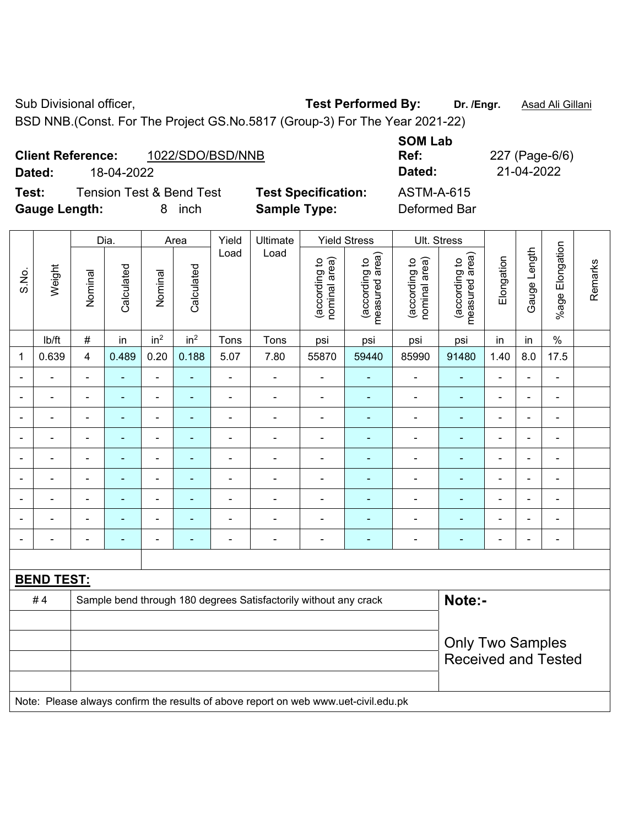**Client Reference:** 1022/SDO/BSD/NNB

Sub Divisional officer, **Test Performed By:** Dr. /Engr. **Asad Ali Gillani** Cub Divisional officer,

**SOM Lab** 

BSD NNB.(Const. For The Project GS.No.5817 (Group-3) For The Year 2021-22)

|                | <b>Tension Test &amp; Bend Test</b><br>Test:<br><b>Gauge Length:</b><br>8 inch |                                                       |                |                              |                 |                | <b>Test Specification:</b><br><b>Sample Type:</b>                                   |                                |                                 | <b>ASTM-A-615</b><br>Deformed Bar |                                 |                |              |                          |         |
|----------------|--------------------------------------------------------------------------------|-------------------------------------------------------|----------------|------------------------------|-----------------|----------------|-------------------------------------------------------------------------------------|--------------------------------|---------------------------------|-----------------------------------|---------------------------------|----------------|--------------|--------------------------|---------|
|                |                                                                                |                                                       | Dia.           |                              | Area            | Yield          | Ultimate                                                                            |                                | <b>Yield Stress</b>             | Ult. Stress                       |                                 |                |              |                          |         |
| S.No.          | Weight                                                                         | Nominal                                               | Calculated     | Nominal                      | Calculated      | Load           | Load                                                                                | (according to<br>nominal area) | (according to<br>measured area) | (according to<br>nominal area)    | (according to<br>measured area) | Elongation     | Gauge Length | %age Elongation          | Remarks |
|                | lb/ft                                                                          | $\#$                                                  | in             | in <sup>2</sup>              | in <sup>2</sup> | Tons           | Tons                                                                                | psi                            | psi                             | psi                               | psi                             | in             | in           | $\%$                     |         |
| 1              | 0.639                                                                          | $\overline{4}$                                        | 0.489          | 0.20                         | 0.188           | 5.07           | 7.80                                                                                | 55870                          | 59440                           | 85990                             | 91480                           | 1.40           | 8.0          | 17.5                     |         |
| ä,             |                                                                                | $\blacksquare$                                        | ä,             | $\overline{\phantom{a}}$     | ÷               | ä,             | $\overline{\phantom{0}}$                                                            | $\blacksquare$                 | $\blacksquare$                  | $\overline{\phantom{a}}$          | $\blacksquare$                  | L,             |              | $\overline{\phantom{a}}$ |         |
|                | ä,                                                                             | $\blacksquare$                                        | ä,             | $\blacksquare$               | $\blacksquare$  | $\frac{1}{2}$  | $\overline{\phantom{a}}$                                                            | $\blacksquare$                 | $\blacksquare$                  | $\qquad \qquad \blacksquare$      | $\blacksquare$                  | $\blacksquare$ |              | $\overline{\phantom{0}}$ |         |
| $\blacksquare$ | ä,                                                                             | $\blacksquare$                                        | $\blacksquare$ | $\overline{\phantom{a}}$     | $\blacksquare$  | $\blacksquare$ | $\frac{1}{2}$                                                                       | $\blacksquare$                 | $\blacksquare$                  | $\blacksquare$                    | $\blacksquare$                  | $\blacksquare$ | ä,           | $\blacksquare$           |         |
| $\blacksquare$ | ÷                                                                              | $\blacksquare$                                        | ä,             | $\blacksquare$               | $\blacksquare$  | L,             | $\frac{1}{2}$                                                                       | $\blacksquare$                 | $\blacksquare$                  | $\blacksquare$                    | $\blacksquare$                  | ä,             |              | $\blacksquare$           |         |
|                |                                                                                | $\blacksquare$                                        | $\blacksquare$ | ÷                            | ٠               | $\blacksquare$ | $\overline{a}$                                                                      | $\blacksquare$                 | ٠                               | $\blacksquare$                    | ۰                               | $\blacksquare$ |              | $\blacksquare$           |         |
|                |                                                                                | $\blacksquare$                                        | $\blacksquare$ | ÷                            |                 |                | $\frac{1}{2}$                                                                       | ä,                             |                                 | $\blacksquare$                    | $\blacksquare$                  | $\blacksquare$ |              | ä,                       |         |
|                |                                                                                |                                                       |                |                              |                 |                |                                                                                     |                                |                                 |                                   | $\blacksquare$                  |                |              | $\blacksquare$           |         |
|                |                                                                                |                                                       | $\blacksquare$ | ÷                            |                 |                | $\frac{1}{2}$                                                                       | ä,                             | ÷                               | $\blacksquare$                    | $\blacksquare$                  |                |              | ÷,                       |         |
| $\blacksquare$ | $\blacksquare$                                                                 | $\blacksquare$                                        | $\blacksquare$ | $\qquad \qquad \blacksquare$ | $\blacksquare$  | $\blacksquare$ | $\blacksquare$                                                                      | $\overline{\phantom{a}}$       | $\blacksquare$                  | ÷,                                | $\blacksquare$                  | ä,             |              | $\blacksquare$           |         |
|                |                                                                                |                                                       |                |                              |                 |                |                                                                                     |                                |                                 |                                   |                                 |                |              |                          |         |
|                | <b>BEND TEST:</b>                                                              |                                                       |                |                              |                 |                |                                                                                     |                                |                                 |                                   |                                 |                |              |                          |         |
|                | #4                                                                             |                                                       |                |                              |                 |                | Sample bend through 180 degrees Satisfactorily without any crack                    |                                |                                 |                                   | Note:-                          |                |              |                          |         |
|                |                                                                                |                                                       |                |                              |                 |                |                                                                                     |                                |                                 |                                   |                                 |                |              |                          |         |
|                |                                                                                | <b>Only Two Samples</b><br><b>Received and Tested</b> |                |                              |                 |                |                                                                                     |                                |                                 |                                   |                                 |                |              |                          |         |
|                |                                                                                |                                                       |                |                              |                 |                | Note: Please always confirm the results of above report on web www.uet-civil.edu.pk |                                |                                 |                                   |                                 |                |              |                          |         |
|                |                                                                                |                                                       |                |                              |                 |                |                                                                                     |                                |                                 |                                   |                                 |                |              |                          |         |

**Dated:** 18-04-2022 **Dated:** 21-04-2022

**Ref:** 227 (Page-6/6)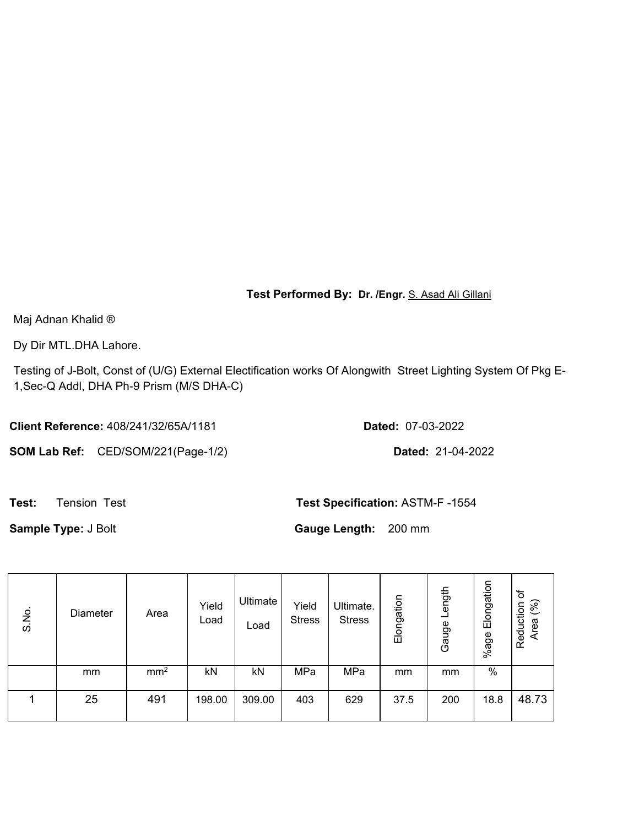**Test Performed By: Dr. /Engr.** S. Asad Ali Gillani

Maj Adnan Khalid ®

Dy Dir MTL.DHA Lahore.

Testing of J-Bolt, Const of (U/G) External Electification works Of Alongwith Street Lighting System Of Pkg E-1,Sec-Q Addl, DHA Ph-9 Prism (M/S DHA-C)

**Client Reference:** 408/241/32/65A/1181 **Dated:** 07-03-2022

**SOM Lab Ref:** CED/SOM/221(Page-1/2) **Dated:** 21-04-2022

**Test:** Tension Test **Test Specification:** ASTM-F -1554

**Sample Type:** J Bolt **Gauge Length:** 200 mm

| S.No. | Diameter | Area            | Yield<br>Load | Ultimate<br>Load | Yield<br><b>Stress</b> | Ultimate.<br><b>Stress</b> | Elongation | Length<br>Gauge | Elongation<br>%age | $\overline{\sigma}$<br>(96)<br>Reduction<br>Area |
|-------|----------|-----------------|---------------|------------------|------------------------|----------------------------|------------|-----------------|--------------------|--------------------------------------------------|
|       | mm       | mm <sup>2</sup> | kN            | kN               | MPa                    | MPa                        | mm         | mm              | %                  |                                                  |
|       | 25       | 491             | 198.00        | 309.00           | 403                    | 629                        | 37.5       | 200             | 18.8               | 48.73                                            |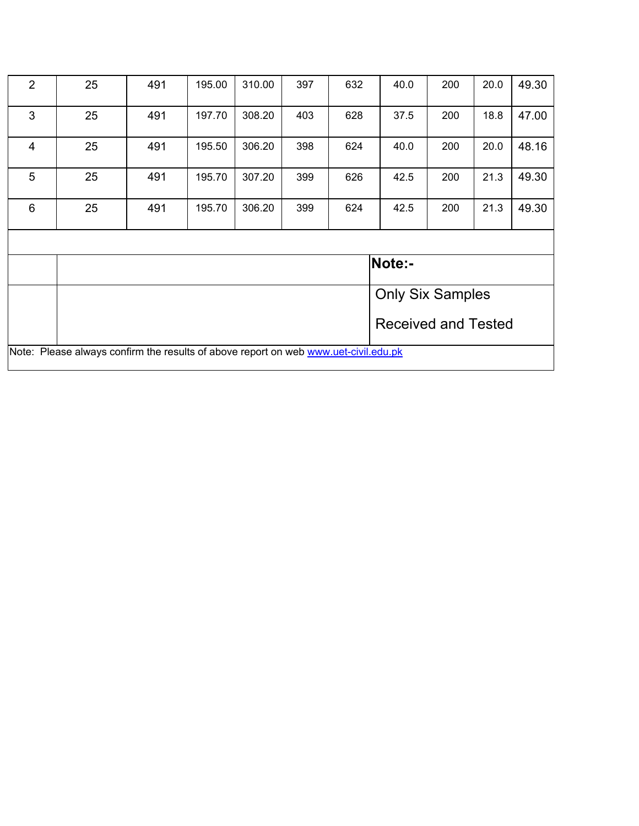| $\overline{2}$                                                                      | 25 | 491                        | 195.00 | 310.00 | 397 | 632 | 40.0 | 200                     | 20.0 | 49.30 |  |  |
|-------------------------------------------------------------------------------------|----|----------------------------|--------|--------|-----|-----|------|-------------------------|------|-------|--|--|
| 3                                                                                   | 25 | 491                        | 197.70 | 308.20 | 403 | 628 | 37.5 | 200                     | 18.8 | 47.00 |  |  |
| $\overline{4}$                                                                      | 25 | 491                        | 195.50 | 306.20 | 398 | 624 | 40.0 | 200                     | 20.0 | 48.16 |  |  |
| 5                                                                                   | 25 | 491                        | 195.70 | 307.20 | 399 | 626 | 42.5 | 200                     | 21.3 | 49.30 |  |  |
| $6\phantom{1}6$                                                                     | 25 | 491                        | 195.70 | 306.20 | 399 | 624 | 42.5 | 200                     | 21.3 | 49.30 |  |  |
|                                                                                     |    |                            |        |        |     |     |      |                         |      |       |  |  |
|                                                                                     |    |                            |        |        |     |     |      | Note:-                  |      |       |  |  |
|                                                                                     |    |                            |        |        |     |     |      | <b>Only Six Samples</b> |      |       |  |  |
|                                                                                     |    | <b>Received and Tested</b> |        |        |     |     |      |                         |      |       |  |  |
| Note: Please always confirm the results of above report on web www.uet-civil.edu.pk |    |                            |        |        |     |     |      |                         |      |       |  |  |